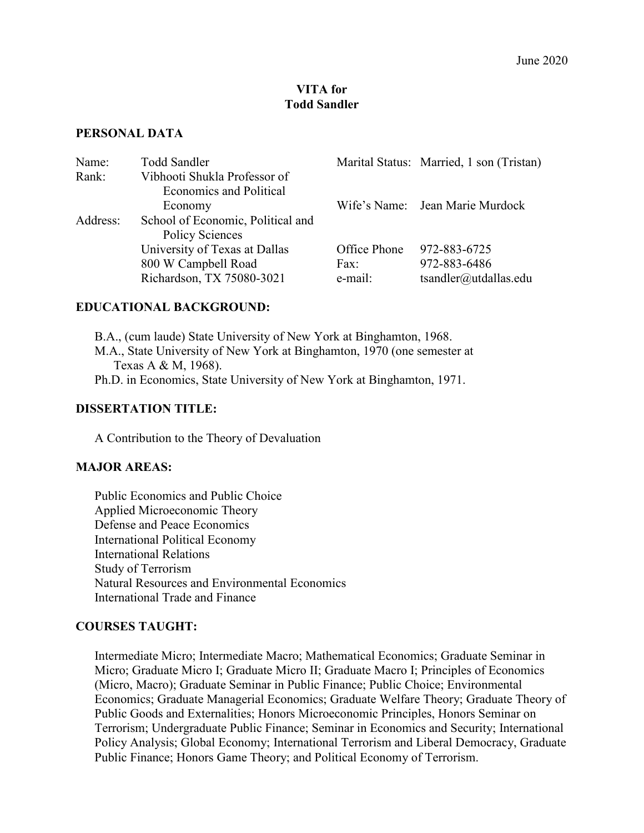#### **VITA for Todd Sandler**

#### **PERSONAL DATA**

| Name:    | <b>Todd Sandler</b>               |              | Marital Status: Married, 1 son (Tristan) |
|----------|-----------------------------------|--------------|------------------------------------------|
| Rank:    | Vibhooti Shukla Professor of      |              |                                          |
|          | <b>Economics and Political</b>    |              |                                          |
|          | Economy                           |              | Wife's Name: Jean Marie Murdock          |
| Address: | School of Economic, Political and |              |                                          |
|          | Policy Sciences                   |              |                                          |
|          | University of Texas at Dallas     | Office Phone | 972-883-6725                             |
|          | 800 W Campbell Road               | Fax:         | 972-883-6486                             |
|          | Richardson, TX 75080-3021         | e-mail:      | tsandler@utdallas.edu                    |

## **EDUCATIONAL BACKGROUND:**

B.A., (cum laude) State University of New York at Binghamton, 1968. M.A., State University of New York at Binghamton, 1970 (one semester at Texas A & M, 1968). Ph.D. in Economics, State University of New York at Binghamton, 1971.

#### **DISSERTATION TITLE:**

A Contribution to the Theory of Devaluation

#### **MAJOR AREAS:**

Public Economics and Public Choice Applied Microeconomic Theory Defense and Peace Economics International Political Economy International Relations Study of Terrorism Natural Resources and Environmental Economics International Trade and Finance

#### **COURSES TAUGHT:**

Intermediate Micro; Intermediate Macro; Mathematical Economics; Graduate Seminar in Micro; Graduate Micro I; Graduate Micro II; Graduate Macro I; Principles of Economics (Micro, Macro); Graduate Seminar in Public Finance; Public Choice; Environmental Economics; Graduate Managerial Economics; Graduate Welfare Theory; Graduate Theory of Public Goods and Externalities; Honors Microeconomic Principles, Honors Seminar on Terrorism; Undergraduate Public Finance; Seminar in Economics and Security; International Policy Analysis; Global Economy; International Terrorism and Liberal Democracy, Graduate Public Finance; Honors Game Theory; and Political Economy of Terrorism.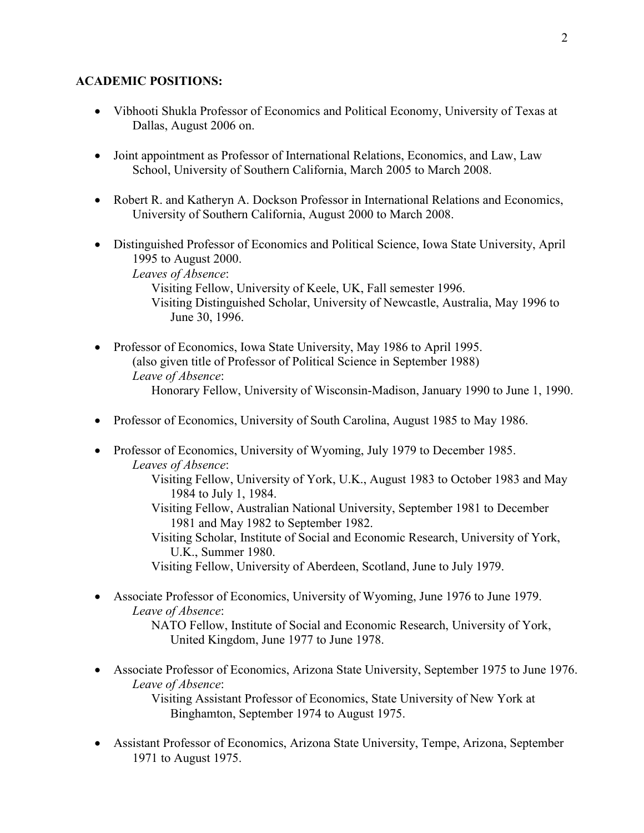## **ACADEMIC POSITIONS:**

- Vibhooti Shukla Professor of Economics and Political Economy, University of Texas at Dallas, August 2006 on.
- Joint appointment as Professor of International Relations, Economics, and Law, Law School, University of Southern California, March 2005 to March 2008.
- Robert R. and Katheryn A. Dockson Professor in International Relations and Economics, University of Southern California, August 2000 to March 2008.
- Distinguished Professor of Economics and Political Science, Iowa State University, April 1995 to August 2000. *Leaves of Absence*: Visiting Fellow, University of Keele, UK, Fall semester 1996. Visiting Distinguished Scholar, University of Newcastle, Australia, May 1996 to June 30, 1996.
- Professor of Economics, Iowa State University, May 1986 to April 1995. (also given title of Professor of Political Science in September 1988) *Leave of Absence*: Honorary Fellow, University of Wisconsin-Madison, January 1990 to June 1, 1990.
- Professor of Economics, University of South Carolina, August 1985 to May 1986.
- Professor of Economics, University of Wyoming, July 1979 to December 1985. *Leaves of Absence*:
	- Visiting Fellow, University of York, U.K., August 1983 to October 1983 and May 1984 to July 1, 1984.
	- Visiting Fellow, Australian National University, September 1981 to December 1981 and May 1982 to September 1982.

Visiting Scholar, Institute of Social and Economic Research, University of York, U.K., Summer 1980.

- Visiting Fellow, University of Aberdeen, Scotland, June to July 1979.
- Associate Professor of Economics, University of Wyoming, June 1976 to June 1979. *Leave of Absence*: NATO Fellow, Institute of Social and Economic Research, University of York,

United Kingdom, June 1977 to June 1978.

- Associate Professor of Economics, Arizona State University, September 1975 to June 1976. *Leave of Absence*: Visiting Assistant Professor of Economics, State University of New York at
	- Binghamton, September 1974 to August 1975.
- Assistant Professor of Economics, Arizona State University, Tempe, Arizona, September 1971 to August 1975.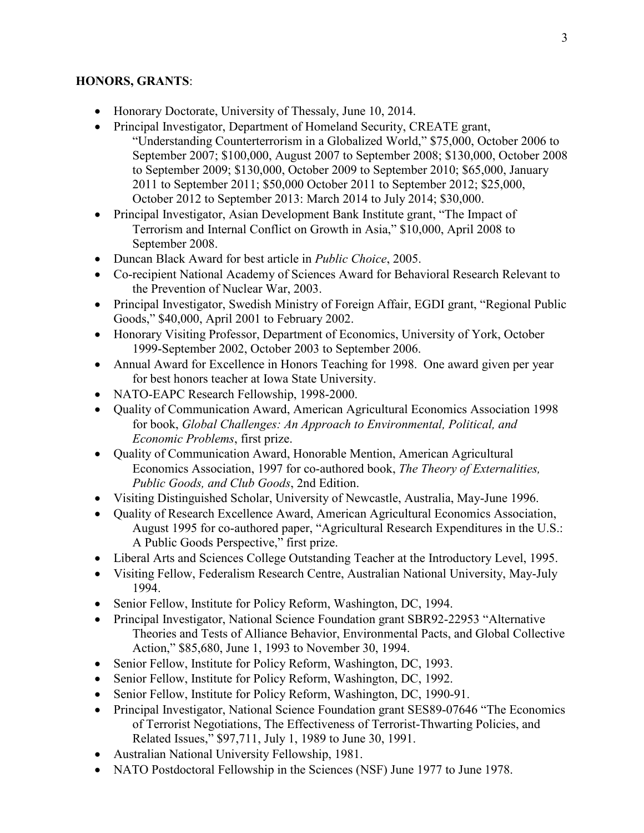## **HONORS, GRANTS**:

- Honorary Doctorate, University of Thessaly, June 10, 2014.
- Principal Investigator, Department of Homeland Security, CREATE grant, "Understanding Counterterrorism in a Globalized World," \$75,000, October 2006 to September 2007; \$100,000, August 2007 to September 2008; \$130,000, October 2008 to September 2009; \$130,000, October 2009 to September 2010; \$65,000, January 2011 to September 2011; \$50,000 October 2011 to September 2012; \$25,000, October 2012 to September 2013: March 2014 to July 2014; \$30,000.
- Principal Investigator, Asian Development Bank Institute grant, "The Impact of Terrorism and Internal Conflict on Growth in Asia," \$10,000, April 2008 to September 2008.
- Duncan Black Award for best article in *Public Choice*, 2005.
- Co-recipient National Academy of Sciences Award for Behavioral Research Relevant to the Prevention of Nuclear War, 2003.
- Principal Investigator, Swedish Ministry of Foreign Affair, EGDI grant, "Regional Public Goods," \$40,000, April 2001 to February 2002.
- Honorary Visiting Professor, Department of Economics, University of York, October 1999-September 2002, October 2003 to September 2006.
- Annual Award for Excellence in Honors Teaching for 1998. One award given per year for best honors teacher at Iowa State University.
- NATO-EAPC Research Fellowship, 1998-2000.
- Quality of Communication Award, American Agricultural Economics Association 1998 for book, *Global Challenges: An Approach to Environmental, Political, and Economic Problems*, first prize.
- Quality of Communication Award, Honorable Mention, American Agricultural Economics Association, 1997 for co-authored book, *The Theory of Externalities, Public Goods, and Club Goods*, 2nd Edition.
- Visiting Distinguished Scholar, University of Newcastle, Australia, May-June 1996.
- Quality of Research Excellence Award, American Agricultural Economics Association, August 1995 for co-authored paper, "Agricultural Research Expenditures in the U.S.: A Public Goods Perspective," first prize.
- Liberal Arts and Sciences College Outstanding Teacher at the Introductory Level, 1995.
- Visiting Fellow, Federalism Research Centre, Australian National University, May-July 1994.
- Senior Fellow, Institute for Policy Reform, Washington, DC, 1994.
- Principal Investigator, National Science Foundation grant SBR92-22953 "Alternative Theories and Tests of Alliance Behavior, Environmental Pacts, and Global Collective Action," \$85,680, June 1, 1993 to November 30, 1994.
- Senior Fellow, Institute for Policy Reform, Washington, DC, 1993.
- Senior Fellow, Institute for Policy Reform, Washington, DC, 1992.
- Senior Fellow, Institute for Policy Reform, Washington, DC, 1990-91.
- Principal Investigator, National Science Foundation grant SES89-07646 "The Economics" of Terrorist Negotiations, The Effectiveness of Terrorist-Thwarting Policies, and Related Issues," \$97,711, July 1, 1989 to June 30, 1991.
- Australian National University Fellowship, 1981.
- NATO Postdoctoral Fellowship in the Sciences (NSF) June 1977 to June 1978.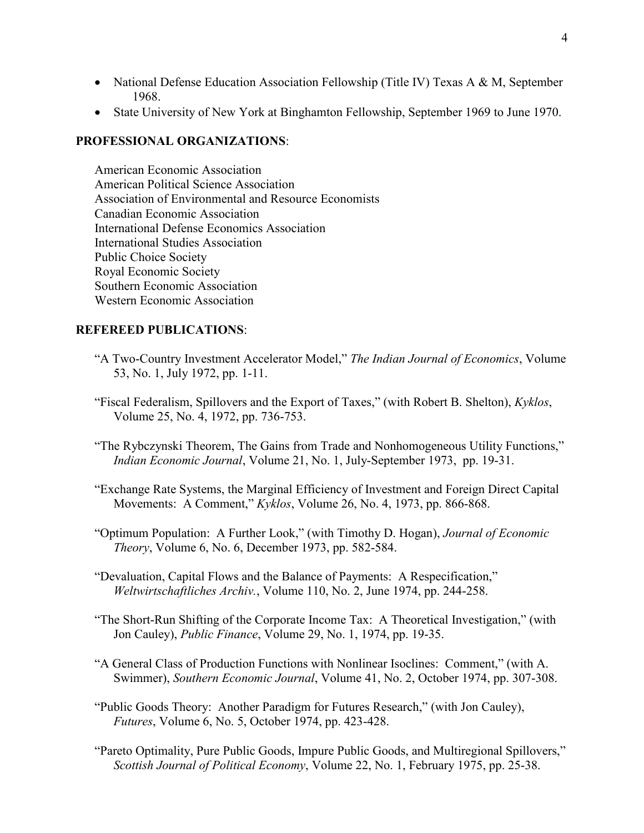- National Defense Education Association Fellowship (Title IV) Texas A & M, September 1968.
- State University of New York at Binghamton Fellowship, September 1969 to June 1970.

## **PROFESSIONAL ORGANIZATIONS**:

American Economic Association American Political Science Association Association of Environmental and Resource Economists Canadian Economic Association International Defense Economics Association International Studies Association Public Choice Society Royal Economic Society Southern Economic Association Western Economic Association

## **REFEREED PUBLICATIONS**:

- "A Two-Country Investment Accelerator Model," *The Indian Journal of Economics*, Volume 53, No. 1, July 1972, pp. 1-11.
- "Fiscal Federalism, Spillovers and the Export of Taxes," (with Robert B. Shelton), *Kyklos*, Volume 25, No. 4, 1972, pp. 736-753.
- "The Rybczynski Theorem, The Gains from Trade and Nonhomogeneous Utility Functions," *Indian Economic Journal*, Volume 21, No. 1, July-September 1973, pp. 19-31.
- "Exchange Rate Systems, the Marginal Efficiency of Investment and Foreign Direct Capital Movements: A Comment," *Kyklos*, Volume 26, No. 4, 1973, pp. 866-868.
- "Optimum Population: A Further Look," (with Timothy D. Hogan), *Journal of Economic Theory*, Volume 6, No. 6, December 1973, pp. 582-584.
- "Devaluation, Capital Flows and the Balance of Payments: A Respecification," *Weltwirtschaftliches Archiv.*, Volume 110, No. 2, June 1974, pp. 244-258.
- "The Short-Run Shifting of the Corporate Income Tax: A Theoretical Investigation," (with Jon Cauley), *Public Finance*, Volume 29, No. 1, 1974, pp. 19-35.
- "A General Class of Production Functions with Nonlinear Isoclines: Comment," (with A. Swimmer), *Southern Economic Journal*, Volume 41, No. 2, October 1974, pp. 307-308.
- "Public Goods Theory: Another Paradigm for Futures Research," (with Jon Cauley), *Futures*, Volume 6, No. 5, October 1974, pp. 423-428.
- "Pareto Optimality, Pure Public Goods, Impure Public Goods, and Multiregional Spillovers," *Scottish Journal of Political Economy*, Volume 22, No. 1, February 1975, pp. 25-38.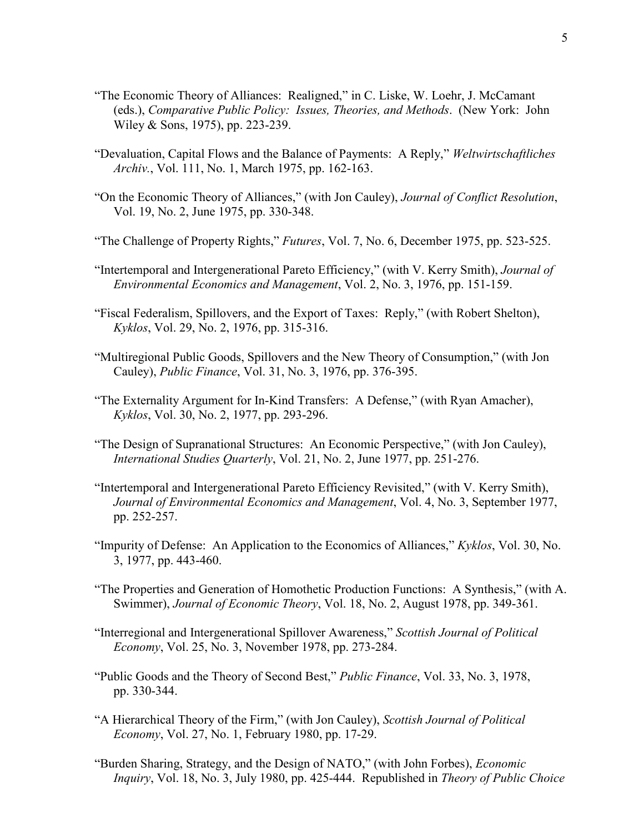- "The Economic Theory of Alliances: Realigned," in C. Liske, W. Loehr, J. McCamant (eds.), *Comparative Public Policy: Issues, Theories, and Methods*. (New York: John Wiley & Sons, 1975), pp. 223-239.
- "Devaluation, Capital Flows and the Balance of Payments: A Reply," *Weltwirtschaftliches Archiv.*, Vol. 111, No. 1, March 1975, pp. 162-163.
- "On the Economic Theory of Alliances," (with Jon Cauley), *Journal of Conflict Resolution*, Vol. 19, No. 2, June 1975, pp. 330-348.
- "The Challenge of Property Rights," *Futures*, Vol. 7, No. 6, December 1975, pp. 523-525.
- "Intertemporal and Intergenerational Pareto Efficiency," (with V. Kerry Smith), *Journal of Environmental Economics and Management*, Vol. 2, No. 3, 1976, pp. 151-159.
- "Fiscal Federalism, Spillovers, and the Export of Taxes: Reply," (with Robert Shelton), *Kyklos*, Vol. 29, No. 2, 1976, pp. 315-316.
- "Multiregional Public Goods, Spillovers and the New Theory of Consumption," (with Jon Cauley), *Public Finance*, Vol. 31, No. 3, 1976, pp. 376-395.
- "The Externality Argument for In-Kind Transfers: A Defense," (with Ryan Amacher), *Kyklos*, Vol. 30, No. 2, 1977, pp. 293-296.
- "The Design of Supranational Structures: An Economic Perspective," (with Jon Cauley), *International Studies Quarterly*, Vol. 21, No. 2, June 1977, pp. 251-276.
- "Intertemporal and Intergenerational Pareto Efficiency Revisited," (with V. Kerry Smith), *Journal of Environmental Economics and Management*, Vol. 4, No. 3, September 1977, pp. 252-257.
- "Impurity of Defense: An Application to the Economics of Alliances," *Kyklos*, Vol. 30, No. 3, 1977, pp. 443-460.
- "The Properties and Generation of Homothetic Production Functions: A Synthesis," (with A. Swimmer), *Journal of Economic Theory*, Vol. 18, No. 2, August 1978, pp. 349-361.
- "Interregional and Intergenerational Spillover Awareness," *Scottish Journal of Political Economy*, Vol. 25, No. 3, November 1978, pp. 273-284.
- "Public Goods and the Theory of Second Best," *Public Finance*, Vol. 33, No. 3, 1978, pp. 330-344.
- "A Hierarchical Theory of the Firm," (with Jon Cauley), *Scottish Journal of Political Economy*, Vol. 27, No. 1, February 1980, pp. 17-29.
- "Burden Sharing, Strategy, and the Design of NATO," (with John Forbes), *Economic Inquiry*, Vol. 18, No. 3, July 1980, pp. 425-444. Republished in *Theory of Public Choice*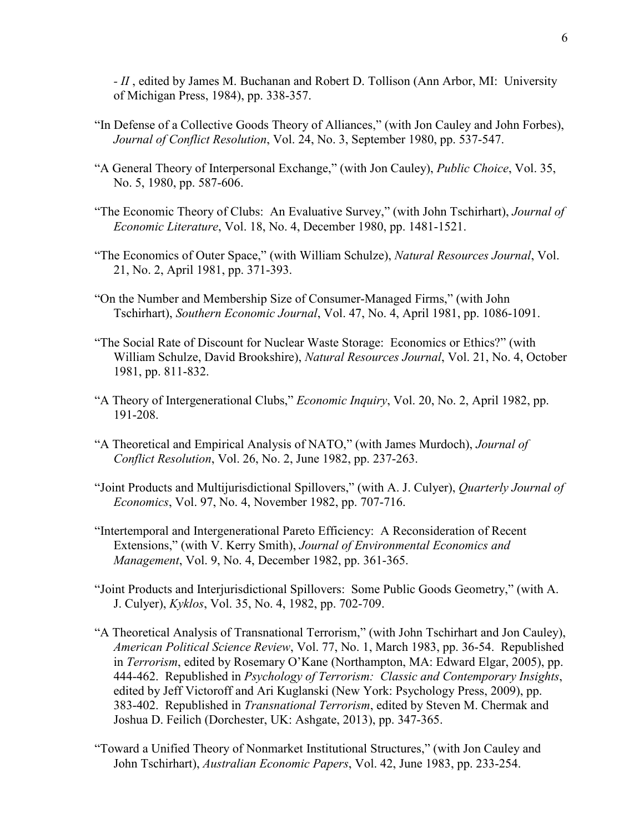*- II* , edited by James M. Buchanan and Robert D. Tollison (Ann Arbor, MI: University of Michigan Press, 1984), pp. 338-357.

- "In Defense of a Collective Goods Theory of Alliances," (with Jon Cauley and John Forbes), *Journal of Conflict Resolution*, Vol. 24, No. 3, September 1980, pp. 537-547.
- "A General Theory of Interpersonal Exchange," (with Jon Cauley), *Public Choice*, Vol. 35, No. 5, 1980, pp. 587-606.
- "The Economic Theory of Clubs: An Evaluative Survey," (with John Tschirhart), *Journal of Economic Literature*, Vol. 18, No. 4, December 1980, pp. 1481-1521.
- "The Economics of Outer Space," (with William Schulze), *Natural Resources Journal*, Vol. 21, No. 2, April 1981, pp. 371-393.
- "On the Number and Membership Size of Consumer-Managed Firms," (with John Tschirhart), *Southern Economic Journal*, Vol. 47, No. 4, April 1981, pp. 1086-1091.
- "The Social Rate of Discount for Nuclear Waste Storage: Economics or Ethics?" (with William Schulze, David Brookshire), *Natural Resources Journal*, Vol. 21, No. 4, October 1981, pp. 811-832.
- "A Theory of Intergenerational Clubs," *Economic Inquiry*, Vol. 20, No. 2, April 1982, pp. 191-208.
- "A Theoretical and Empirical Analysis of NATO," (with James Murdoch), *Journal of Conflict Resolution*, Vol. 26, No. 2, June 1982, pp. 237-263.
- "Joint Products and Multijurisdictional Spillovers," (with A. J. Culyer), *Quarterly Journal of Economics*, Vol. 97, No. 4, November 1982, pp. 707-716.
- "Intertemporal and Intergenerational Pareto Efficiency: A Reconsideration of Recent Extensions," (with V. Kerry Smith), *Journal of Environmental Economics and Management*, Vol. 9, No. 4, December 1982, pp. 361-365.
- "Joint Products and Interjurisdictional Spillovers: Some Public Goods Geometry," (with A. J. Culyer), *Kyklos*, Vol. 35, No. 4, 1982, pp. 702-709.
- "A Theoretical Analysis of Transnational Terrorism," (with John Tschirhart and Jon Cauley), *American Political Science Review*, Vol. 77, No. 1, March 1983, pp. 36-54. Republished in *Terrorism*, edited by Rosemary O'Kane (Northampton, MA: Edward Elgar, 2005), pp. 444-462. Republished in *Psychology of Terrorism: Classic and Contemporary Insights*, edited by Jeff Victoroff and Ari Kuglanski (New York: Psychology Press, 2009), pp. 383-402. Republished in *Transnational Terrorism*, edited by Steven M. Chermak and Joshua D. Feilich (Dorchester, UK: Ashgate, 2013), pp. 347-365.
- "Toward a Unified Theory of Nonmarket Institutional Structures," (with Jon Cauley and John Tschirhart), *Australian Economic Papers*, Vol. 42, June 1983, pp. 233-254.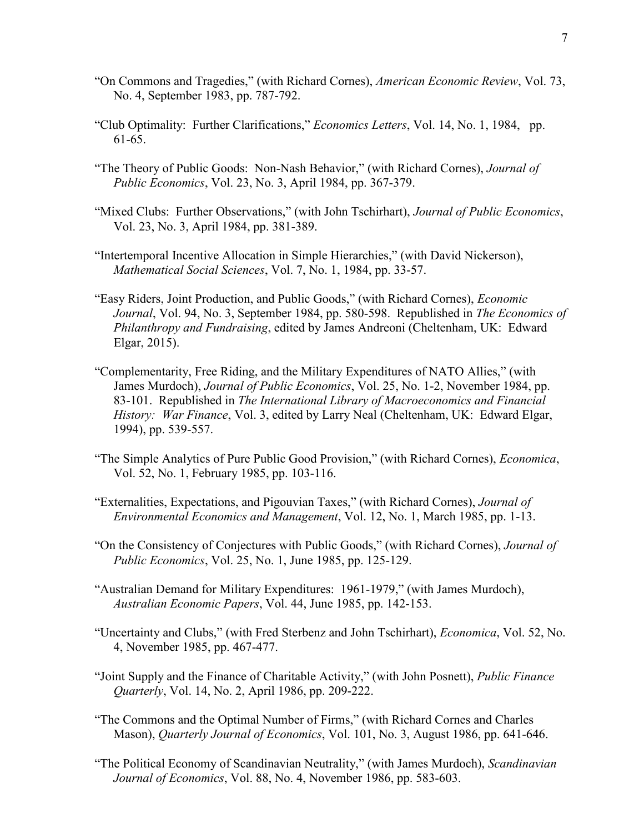- "On Commons and Tragedies," (with Richard Cornes), *American Economic Review*, Vol. 73, No. 4, September 1983, pp. 787-792.
- "Club Optimality: Further Clarifications," *Economics Letters*, Vol. 14, No. 1, 1984, pp. 61-65.
- "The Theory of Public Goods: Non-Nash Behavior," (with Richard Cornes), *Journal of Public Economics*, Vol. 23, No. 3, April 1984, pp. 367-379.
- "Mixed Clubs: Further Observations," (with John Tschirhart), *Journal of Public Economics*, Vol. 23, No. 3, April 1984, pp. 381-389.
- "Intertemporal Incentive Allocation in Simple Hierarchies," (with David Nickerson), *Mathematical Social Sciences*, Vol. 7, No. 1, 1984, pp. 33-57.
- "Easy Riders, Joint Production, and Public Goods," (with Richard Cornes), *Economic Journal*, Vol. 94, No. 3, September 1984, pp. 580-598. Republished in *The Economics of Philanthropy and Fundraising*, edited by James Andreoni (Cheltenham, UK: Edward Elgar, 2015).
- "Complementarity, Free Riding, and the Military Expenditures of NATO Allies," (with James Murdoch), *Journal of Public Economics*, Vol. 25, No. 1-2, November 1984, pp. 83-101. Republished in *The International Library of Macroeconomics and Financial History: War Finance*, Vol. 3, edited by Larry Neal (Cheltenham, UK: Edward Elgar, 1994), pp. 539-557.
- "The Simple Analytics of Pure Public Good Provision," (with Richard Cornes), *Economica*, Vol. 52, No. 1, February 1985, pp. 103-116.
- "Externalities, Expectations, and Pigouvian Taxes," (with Richard Cornes), *Journal of Environmental Economics and Management*, Vol. 12, No. 1, March 1985, pp. 1-13.
- "On the Consistency of Conjectures with Public Goods," (with Richard Cornes), *Journal of Public Economics*, Vol. 25, No. 1, June 1985, pp. 125-129.
- "Australian Demand for Military Expenditures: 1961-1979," (with James Murdoch), *Australian Economic Papers*, Vol. 44, June 1985, pp. 142-153.
- "Uncertainty and Clubs," (with Fred Sterbenz and John Tschirhart), *Economica*, Vol. 52, No. 4, November 1985, pp. 467-477.
- "Joint Supply and the Finance of Charitable Activity," (with John Posnett), *Public Finance Quarterly*, Vol. 14, No. 2, April 1986, pp. 209-222.
- "The Commons and the Optimal Number of Firms," (with Richard Cornes and Charles Mason), *Quarterly Journal of Economics*, Vol. 101, No. 3, August 1986, pp. 641-646.
- "The Political Economy of Scandinavian Neutrality," (with James Murdoch), *Scandinavian Journal of Economics*, Vol. 88, No. 4, November 1986, pp. 583-603.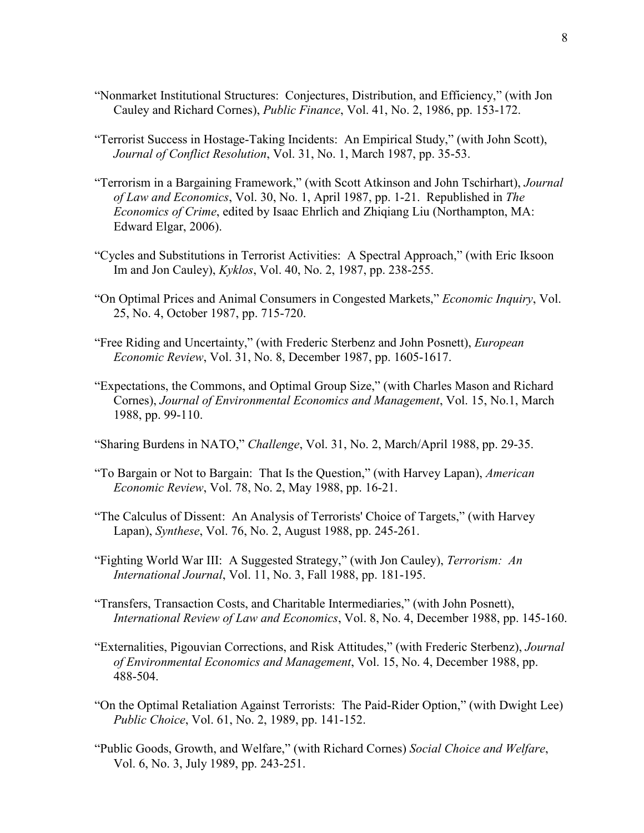- "Nonmarket Institutional Structures: Conjectures, Distribution, and Efficiency," (with Jon Cauley and Richard Cornes), *Public Finance*, Vol. 41, No. 2, 1986, pp. 153-172.
- "Terrorist Success in Hostage-Taking Incidents: An Empirical Study," (with John Scott), *Journal of Conflict Resolution*, Vol. 31, No. 1, March 1987, pp. 35-53.
- "Terrorism in a Bargaining Framework," (with Scott Atkinson and John Tschirhart), *Journal of Law and Economics*, Vol. 30, No. 1, April 1987, pp. 1-21. Republished in *The Economics of Crime*, edited by Isaac Ehrlich and Zhiqiang Liu (Northampton, MA: Edward Elgar, 2006).
- "Cycles and Substitutions in Terrorist Activities: A Spectral Approach," (with Eric Iksoon Im and Jon Cauley), *Kyklos*, Vol. 40, No. 2, 1987, pp. 238-255.
- "On Optimal Prices and Animal Consumers in Congested Markets," *Economic Inquiry*, Vol. 25, No. 4, October 1987, pp. 715-720.
- "Free Riding and Uncertainty," (with Frederic Sterbenz and John Posnett), *European Economic Review*, Vol. 31, No. 8, December 1987, pp. 1605-1617.
- "Expectations, the Commons, and Optimal Group Size," (with Charles Mason and Richard Cornes), *Journal of Environmental Economics and Management*, Vol. 15, No.1, March 1988, pp. 99-110.
- "Sharing Burdens in NATO," *Challenge*, Vol. 31, No. 2, March/April 1988, pp. 29-35.
- "To Bargain or Not to Bargain: That Is the Question," (with Harvey Lapan), *American Economic Review*, Vol. 78, No. 2, May 1988, pp. 16-21.
- "The Calculus of Dissent: An Analysis of Terrorists' Choice of Targets," (with Harvey Lapan), *Synthese*, Vol. 76, No. 2, August 1988, pp. 245-261.
- "Fighting World War III: A Suggested Strategy," (with Jon Cauley), *Terrorism: An International Journal*, Vol. 11, No. 3, Fall 1988, pp. 181-195.
- "Transfers, Transaction Costs, and Charitable Intermediaries," (with John Posnett), *International Review of Law and Economics*, Vol. 8, No. 4, December 1988, pp. 145-160.
- "Externalities, Pigouvian Corrections, and Risk Attitudes," (with Frederic Sterbenz), *Journal of Environmental Economics and Management*, Vol. 15, No. 4, December 1988, pp. 488-504.
- "On the Optimal Retaliation Against Terrorists: The Paid-Rider Option," (with Dwight Lee) *Public Choice*, Vol. 61, No. 2, 1989, pp. 141-152.
- "Public Goods, Growth, and Welfare," (with Richard Cornes) *Social Choice and Welfare*, Vol. 6, No. 3, July 1989, pp. 243-251.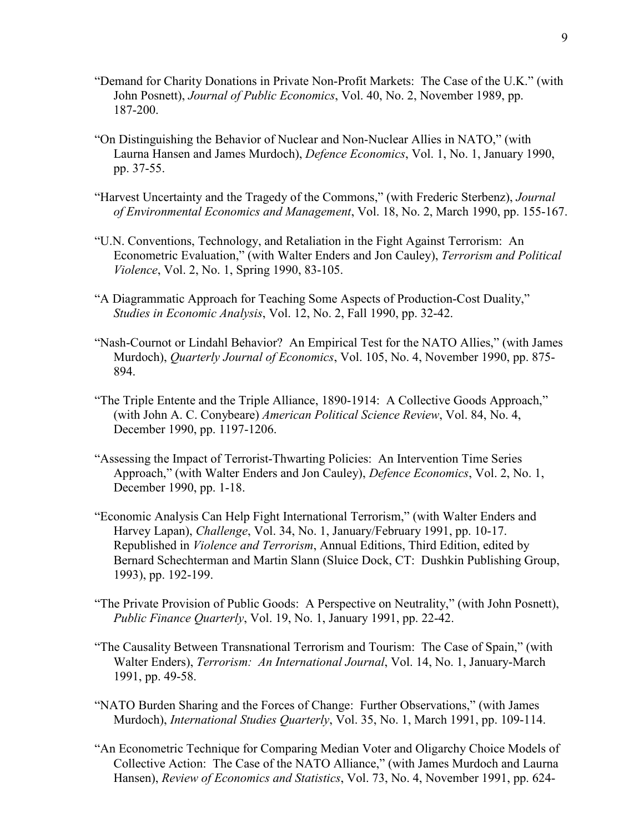- "Demand for Charity Donations in Private Non-Profit Markets: The Case of the U.K." (with John Posnett), *Journal of Public Economics*, Vol. 40, No. 2, November 1989, pp. 187-200.
- "On Distinguishing the Behavior of Nuclear and Non-Nuclear Allies in NATO," (with Laurna Hansen and James Murdoch), *Defence Economics*, Vol. 1, No. 1, January 1990, pp. 37-55.
- "Harvest Uncertainty and the Tragedy of the Commons," (with Frederic Sterbenz), *Journal of Environmental Economics and Management*, Vol. 18, No. 2, March 1990, pp. 155-167.
- "U.N. Conventions, Technology, and Retaliation in the Fight Against Terrorism: An Econometric Evaluation," (with Walter Enders and Jon Cauley), *Terrorism and Political Violence*, Vol. 2, No. 1, Spring 1990, 83-105.
- "A Diagrammatic Approach for Teaching Some Aspects of Production-Cost Duality," *Studies in Economic Analysis*, Vol. 12, No. 2, Fall 1990, pp. 32-42.
- "Nash-Cournot or Lindahl Behavior? An Empirical Test for the NATO Allies," (with James Murdoch), *Quarterly Journal of Economics*, Vol. 105, No. 4, November 1990, pp. 875- 894.
- "The Triple Entente and the Triple Alliance, 1890-1914: A Collective Goods Approach," (with John A. C. Conybeare) *American Political Science Review*, Vol. 84, No. 4, December 1990, pp. 1197-1206.
- "Assessing the Impact of Terrorist-Thwarting Policies: An Intervention Time Series Approach," (with Walter Enders and Jon Cauley), *Defence Economics*, Vol. 2, No. 1, December 1990, pp. 1-18.
- "Economic Analysis Can Help Fight International Terrorism," (with Walter Enders and Harvey Lapan), *Challenge*, Vol. 34, No. 1, January/February 1991, pp. 10-17. Republished in *Violence and Terrorism*, Annual Editions, Third Edition, edited by Bernard Schechterman and Martin Slann (Sluice Dock, CT: Dushkin Publishing Group, 1993), pp. 192-199.
- "The Private Provision of Public Goods: A Perspective on Neutrality," (with John Posnett), *Public Finance Quarterly*, Vol. 19, No. 1, January 1991, pp. 22-42.
- "The Causality Between Transnational Terrorism and Tourism: The Case of Spain," (with Walter Enders), *Terrorism: An International Journal*, Vol. 14, No. 1, January-March 1991, pp. 49-58.
- "NATO Burden Sharing and the Forces of Change: Further Observations," (with James Murdoch), *International Studies Quarterly*, Vol. 35, No. 1, March 1991, pp. 109-114.
- "An Econometric Technique for Comparing Median Voter and Oligarchy Choice Models of Collective Action: The Case of the NATO Alliance," (with James Murdoch and Laurna Hansen), *Review of Economics and Statistics*, Vol. 73, No. 4, November 1991, pp. 624-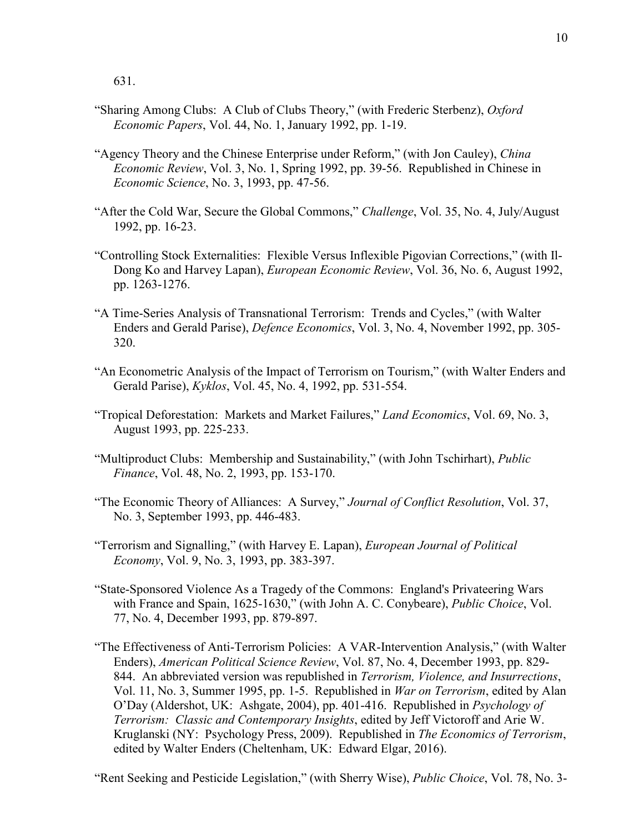631.

- "Sharing Among Clubs: A Club of Clubs Theory," (with Frederic Sterbenz), *Oxford Economic Papers*, Vol. 44, No. 1, January 1992, pp. 1-19.
- "Agency Theory and the Chinese Enterprise under Reform," (with Jon Cauley), *China Economic Review*, Vol. 3, No. 1, Spring 1992, pp. 39-56. Republished in Chinese in *Economic Science*, No. 3, 1993, pp. 47-56.
- "After the Cold War, Secure the Global Commons," *Challenge*, Vol. 35, No. 4, July/August 1992, pp. 16-23.
- "Controlling Stock Externalities: Flexible Versus Inflexible Pigovian Corrections," (with Il-Dong Ko and Harvey Lapan), *European Economic Review*, Vol. 36, No. 6, August 1992, pp. 1263-1276.
- "A Time-Series Analysis of Transnational Terrorism: Trends and Cycles," (with Walter Enders and Gerald Parise), *Defence Economics*, Vol. 3, No. 4, November 1992, pp. 305- 320.
- "An Econometric Analysis of the Impact of Terrorism on Tourism," (with Walter Enders and Gerald Parise), *Kyklos*, Vol. 45, No. 4, 1992, pp. 531-554.
- "Tropical Deforestation: Markets and Market Failures," *Land Economics*, Vol. 69, No. 3, August 1993, pp. 225-233.
- "Multiproduct Clubs: Membership and Sustainability," (with John Tschirhart), *Public Finance*, Vol. 48, No. 2, 1993, pp. 153-170.
- "The Economic Theory of Alliances: A Survey," *Journal of Conflict Resolution*, Vol. 37, No. 3, September 1993, pp. 446-483.
- "Terrorism and Signalling," (with Harvey E. Lapan), *European Journal of Political Economy*, Vol. 9, No. 3, 1993, pp. 383-397.
- "State-Sponsored Violence As a Tragedy of the Commons: England's Privateering Wars with France and Spain, 1625-1630," (with John A. C. Conybeare), *Public Choice*, Vol. 77, No. 4, December 1993, pp. 879-897.
- "The Effectiveness of Anti-Terrorism Policies: A VAR-Intervention Analysis," (with Walter Enders), *American Political Science Review*, Vol. 87, No. 4, December 1993, pp. 829- 844. An abbreviated version was republished in *Terrorism, Violence, and Insurrections*, Vol. 11, No. 3, Summer 1995, pp. 1-5. Republished in *War on Terrorism*, edited by Alan O'Day (Aldershot, UK: Ashgate, 2004), pp. 401-416. Republished in *Psychology of Terrorism: Classic and Contemporary Insights*, edited by Jeff Victoroff and Arie W. Kruglanski (NY: Psychology Press, 2009). Republished in *The Economics of Terrorism*, edited by Walter Enders (Cheltenham, UK: Edward Elgar, 2016).

"Rent Seeking and Pesticide Legislation," (with Sherry Wise), *Public Choice*, Vol. 78, No. 3-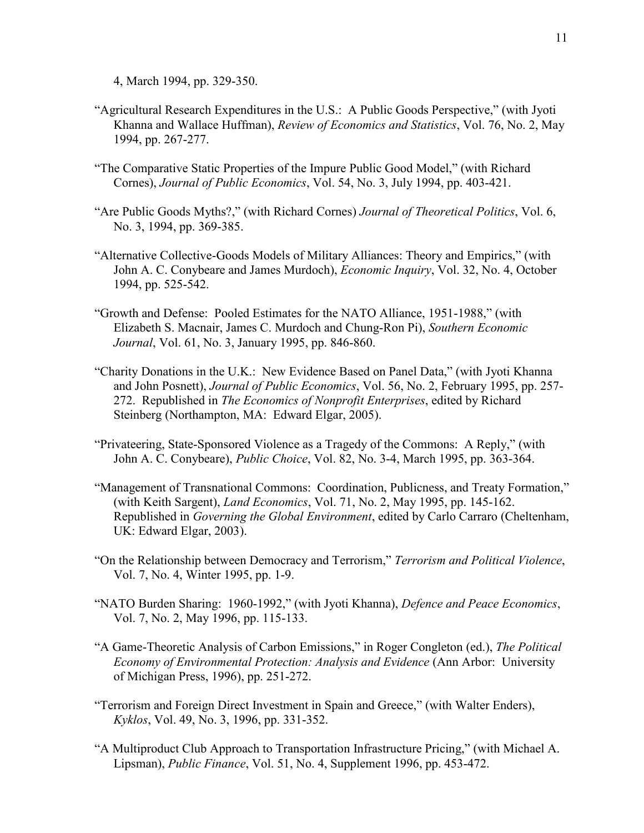4, March 1994, pp. 329-350.

- "Agricultural Research Expenditures in the U.S.: A Public Goods Perspective," (with Jyoti Khanna and Wallace Huffman), *Review of Economics and Statistics*, Vol. 76, No. 2, May 1994, pp. 267-277.
- "The Comparative Static Properties of the Impure Public Good Model," (with Richard Cornes), *Journal of Public Economics*, Vol. 54, No. 3, July 1994, pp. 403-421.
- "Are Public Goods Myths?," (with Richard Cornes) *Journal of Theoretical Politics*, Vol. 6, No. 3, 1994, pp. 369-385.
- "Alternative Collective-Goods Models of Military Alliances: Theory and Empirics," (with John A. C. Conybeare and James Murdoch), *Economic Inquiry*, Vol. 32, No. 4, October 1994, pp. 525-542.
- "Growth and Defense: Pooled Estimates for the NATO Alliance, 1951-1988," (with Elizabeth S. Macnair, James C. Murdoch and Chung-Ron Pi), *Southern Economic Journal*, Vol. 61, No. 3, January 1995, pp. 846-860.
- "Charity Donations in the U.K.: New Evidence Based on Panel Data," (with Jyoti Khanna and John Posnett), *Journal of Public Economics*, Vol. 56, No. 2, February 1995, pp. 257- 272. Republished in *The Economics of Nonprofit Enterprises*, edited by Richard Steinberg (Northampton, MA: Edward Elgar, 2005).
- "Privateering, State-Sponsored Violence as a Tragedy of the Commons: A Reply," (with John A. C. Conybeare), *Public Choice*, Vol. 82, No. 3-4, March 1995, pp. 363-364.
- "Management of Transnational Commons: Coordination, Publicness, and Treaty Formation," (with Keith Sargent), *Land Economics*, Vol. 71, No. 2, May 1995, pp. 145-162. Republished in *Governing the Global Environment*, edited by Carlo Carraro (Cheltenham, UK: Edward Elgar, 2003).
- "On the Relationship between Democracy and Terrorism," *Terrorism and Political Violence*, Vol. 7, No. 4, Winter 1995, pp. 1-9.
- "NATO Burden Sharing: 1960-1992," (with Jyoti Khanna), *Defence and Peace Economics*, Vol. 7, No. 2, May 1996, pp. 115-133.
- "A Game-Theoretic Analysis of Carbon Emissions," in Roger Congleton (ed.), *The Political Economy of Environmental Protection: Analysis and Evidence* (Ann Arbor: University of Michigan Press, 1996), pp. 251-272.
- "Terrorism and Foreign Direct Investment in Spain and Greece," (with Walter Enders), *Kyklos*, Vol. 49, No. 3, 1996, pp. 331-352.
- "A Multiproduct Club Approach to Transportation Infrastructure Pricing," (with Michael A. Lipsman), *Public Finance*, Vol. 51, No. 4, Supplement 1996, pp. 453-472.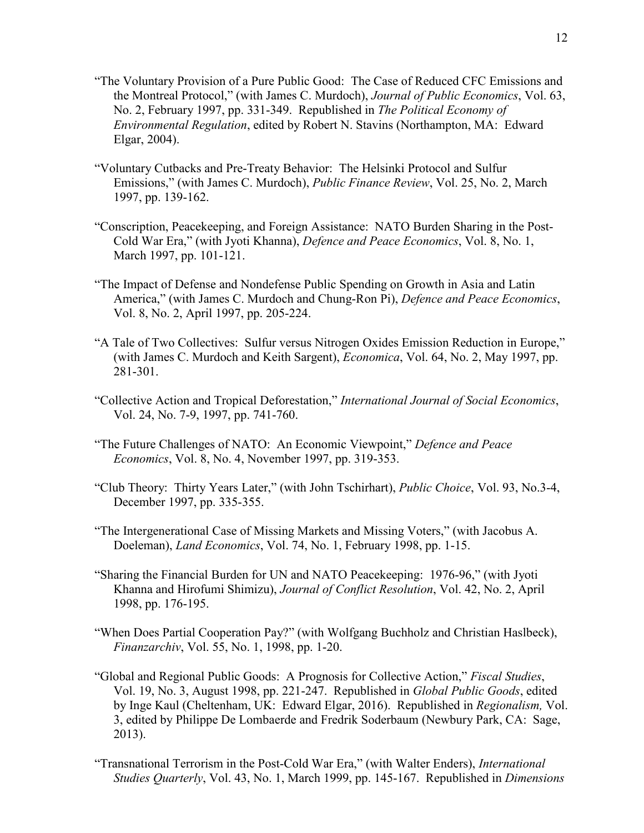- "The Voluntary Provision of a Pure Public Good: The Case of Reduced CFC Emissions and the Montreal Protocol," (with James C. Murdoch), *Journal of Public Economics*, Vol. 63, No. 2, February 1997, pp. 331-349. Republished in *The Political Economy of Environmental Regulation*, edited by Robert N. Stavins (Northampton, MA: Edward Elgar, 2004).
- "Voluntary Cutbacks and Pre-Treaty Behavior: The Helsinki Protocol and Sulfur Emissions," (with James C. Murdoch), *Public Finance Review*, Vol. 25, No. 2, March 1997, pp. 139-162.
- "Conscription, Peacekeeping, and Foreign Assistance: NATO Burden Sharing in the Post-Cold War Era," (with Jyoti Khanna), *Defence and Peace Economics*, Vol. 8, No. 1, March 1997, pp. 101-121.
- "The Impact of Defense and Nondefense Public Spending on Growth in Asia and Latin America," (with James C. Murdoch and Chung-Ron Pi), *Defence and Peace Economics*, Vol. 8, No. 2, April 1997, pp. 205-224.
- "A Tale of Two Collectives: Sulfur versus Nitrogen Oxides Emission Reduction in Europe," (with James C. Murdoch and Keith Sargent), *Economica*, Vol. 64, No. 2, May 1997, pp. 281-301.
- "Collective Action and Tropical Deforestation," *International Journal of Social Economics*, Vol. 24, No. 7-9, 1997, pp. 741-760.
- "The Future Challenges of NATO: An Economic Viewpoint," *Defence and Peace Economics*, Vol. 8, No. 4, November 1997, pp. 319-353.
- "Club Theory: Thirty Years Later," (with John Tschirhart), *Public Choice*, Vol. 93, No.3-4, December 1997, pp. 335-355.
- "The Intergenerational Case of Missing Markets and Missing Voters," (with Jacobus A. Doeleman), *Land Economics*, Vol. 74, No. 1, February 1998, pp. 1-15.
- "Sharing the Financial Burden for UN and NATO Peacekeeping: 1976-96," (with Jyoti Khanna and Hirofumi Shimizu), *Journal of Conflict Resolution*, Vol. 42, No. 2, April 1998, pp. 176-195.
- "When Does Partial Cooperation Pay?" (with Wolfgang Buchholz and Christian Haslbeck), *Finanzarchiv*, Vol. 55, No. 1, 1998, pp. 1-20.
- "Global and Regional Public Goods: A Prognosis for Collective Action," *Fiscal Studies*, Vol. 19, No. 3, August 1998, pp. 221-247. Republished in *Global Public Goods*, edited by Inge Kaul (Cheltenham, UK: Edward Elgar, 2016). Republished in *Regionalism,* Vol. 3, edited by Philippe De Lombaerde and Fredrik Soderbaum (Newbury Park, CA: Sage, 2013).
- "Transnational Terrorism in the Post-Cold War Era," (with Walter Enders), *International Studies Quarterly*, Vol. 43, No. 1, March 1999, pp. 145-167. Republished in *Dimensions*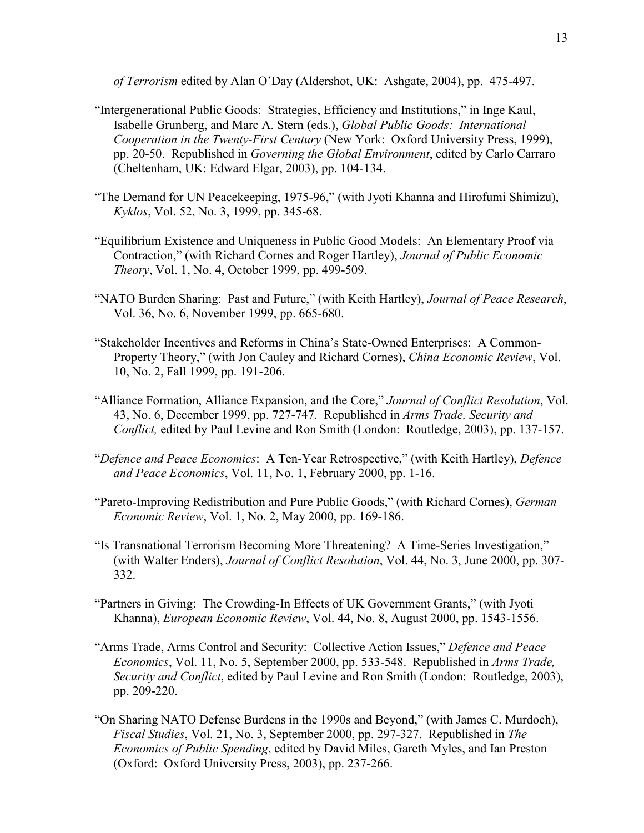*of Terrorism* edited by Alan O'Day (Aldershot, UK: Ashgate, 2004), pp. 475-497.

- "Intergenerational Public Goods: Strategies, Efficiency and Institutions," in Inge Kaul, Isabelle Grunberg, and Marc A. Stern (eds.), *Global Public Goods: International Cooperation in the Twenty-First Century* (New York: Oxford University Press, 1999), pp. 20-50. Republished in *Governing the Global Environment*, edited by Carlo Carraro (Cheltenham, UK: Edward Elgar, 2003), pp. 104-134.
- "The Demand for UN Peacekeeping, 1975-96," (with Jyoti Khanna and Hirofumi Shimizu), *Kyklos*, Vol. 52, No. 3, 1999, pp. 345-68.
- "Equilibrium Existence and Uniqueness in Public Good Models: An Elementary Proof via Contraction," (with Richard Cornes and Roger Hartley), *Journal of Public Economic Theory*, Vol. 1, No. 4, October 1999, pp. 499-509.
- "NATO Burden Sharing: Past and Future," (with Keith Hartley), *Journal of Peace Research*, Vol. 36, No. 6, November 1999, pp. 665-680.
- "Stakeholder Incentives and Reforms in China's State-Owned Enterprises: A Common-Property Theory," (with Jon Cauley and Richard Cornes), *China Economic Review*, Vol. 10, No. 2, Fall 1999, pp. 191-206.
- "Alliance Formation, Alliance Expansion, and the Core," *Journal of Conflict Resolution*, Vol. 43, No. 6, December 1999, pp. 727-747. Republished in *Arms Trade, Security and Conflict,* edited by Paul Levine and Ron Smith (London: Routledge, 2003), pp. 137-157.
- "*Defence and Peace Economics*: A Ten-Year Retrospective," (with Keith Hartley), *Defence and Peace Economics*, Vol. 11, No. 1, February 2000, pp. 1-16.
- "Pareto-Improving Redistribution and Pure Public Goods," (with Richard Cornes), *German Economic Review*, Vol. 1, No. 2, May 2000, pp. 169-186.
- "Is Transnational Terrorism Becoming More Threatening? A Time-Series Investigation," (with Walter Enders), *Journal of Conflict Resolution*, Vol. 44, No. 3, June 2000, pp. 307- 332.
- "Partners in Giving: The Crowding-In Effects of UK Government Grants," (with Jyoti Khanna), *European Economic Review*, Vol. 44, No. 8, August 2000, pp. 1543-1556.
- "Arms Trade, Arms Control and Security: Collective Action Issues," *Defence and Peace Economics*, Vol. 11, No. 5, September 2000, pp. 533-548. Republished in *Arms Trade, Security and Conflict*, edited by Paul Levine and Ron Smith (London: Routledge, 2003), pp. 209-220.
- "On Sharing NATO Defense Burdens in the 1990s and Beyond," (with James C. Murdoch), *Fiscal Studies*, Vol. 21, No. 3, September 2000, pp. 297-327. Republished in *The Economics of Public Spending*, edited by David Miles, Gareth Myles, and Ian Preston (Oxford: Oxford University Press, 2003), pp. 237-266.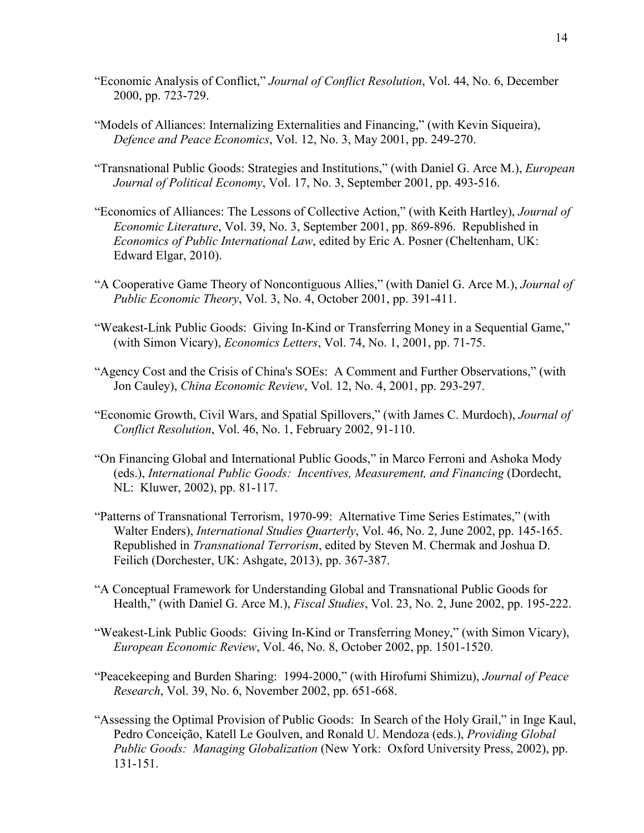- "Economic Analysis of Conflict," *Journal of Conflict Resolution*, Vol. 44, No. 6, December 2000, pp. 723-729.
- "Models of Alliances: Internalizing Externalities and Financing," (with Kevin Siqueira), *Defence and Peace Economics*, Vol. 12, No. 3, May 2001, pp. 249-270.
- "Transnational Public Goods: Strategies and Institutions," (with Daniel G. Arce M.), *European Journal of Political Economy*, Vol. 17, No. 3, September 2001, pp. 493-516.
- "Economics of Alliances: The Lessons of Collective Action," (with Keith Hartley), *Journal of Economic Literature*, Vol. 39, No. 3, September 2001, pp. 869-896. Republished in *Economics of Public International Law*, edited by Eric A. Posner (Cheltenham, UK: Edward Elgar, 2010).
- "A Cooperative Game Theory of Noncontiguous Allies," (with Daniel G. Arce M.), *Journal of Public Economic Theory*, Vol. 3, No. 4, October 2001, pp. 391-411.
- "Weakest-Link Public Goods: Giving In-Kind or Transferring Money in a Sequential Game," (with Simon Vicary), *Economics Letters*, Vol. 74, No. 1, 2001, pp. 71-75.
- "Agency Cost and the Crisis of China's SOEs: A Comment and Further Observations," (with Jon Cauley), *China Economic Review*, Vol. 12, No. 4, 2001, pp. 293-297.
- "Economic Growth, Civil Wars, and Spatial Spillovers," (with James C. Murdoch), *Journal of Conflict Resolution*, Vol. 46, No. 1, February 2002, 91-110.
- "On Financing Global and International Public Goods," in Marco Ferroni and Ashoka Mody (eds.), *International Public Goods: Incentives, Measurement, and Financing* (Dordecht, NL: Kluwer, 2002), pp. 81-117.
- "Patterns of Transnational Terrorism, 1970-99: Alternative Time Series Estimates," (with Walter Enders), *International Studies Quarterly*, Vol. 46, No. 2, June 2002, pp. 145-165. Republished in *Transnational Terrorism*, edited by Steven M. Chermak and Joshua D. Feilich (Dorchester, UK: Ashgate, 2013), pp. 367-387.
- "A Conceptual Framework for Understanding Global and Transnational Public Goods for Health," (with Daniel G. Arce M.), *Fiscal Studies*, Vol. 23, No. 2, June 2002, pp. 195-222.
- "Weakest-Link Public Goods: Giving In-Kind or Transferring Money," (with Simon Vicary), *European Economic Review*, Vol. 46, No. 8, October 2002, pp. 1501-1520.
- "Peacekeeping and Burden Sharing: 1994-2000," (with Hirofumi Shimizu), *Journal of Peace Research*, Vol. 39, No. 6, November 2002, pp. 651-668.
- "Assessing the Optimal Provision of Public Goods: In Search of the Holy Grail," in Inge Kaul, Pedro Conceição, Katell Le Goulven, and Ronald U. Mendoza (eds.), *Providing Global Public Goods: Managing Globalization* (New York: Oxford University Press, 2002), pp. 131-151.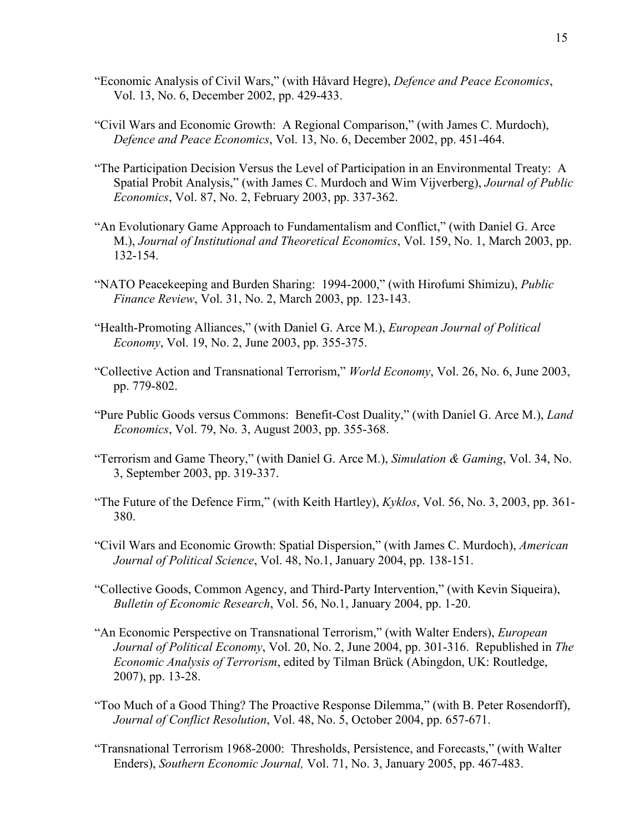- "Economic Analysis of Civil Wars," (with Håvard Hegre), *Defence and Peace Economics*, Vol. 13, No. 6, December 2002, pp. 429-433.
- "Civil Wars and Economic Growth: A Regional Comparison," (with James C. Murdoch), *Defence and Peace Economics*, Vol. 13, No. 6, December 2002, pp. 451-464.
- "The Participation Decision Versus the Level of Participation in an Environmental Treaty: A Spatial Probit Analysis," (with James C. Murdoch and Wim Vijverberg), *Journal of Public Economics*, Vol. 87, No. 2, February 2003, pp. 337-362.
- "An Evolutionary Game Approach to Fundamentalism and Conflict," (with Daniel G. Arce M.), *Journal of Institutional and Theoretical Economics*, Vol. 159, No. 1, March 2003, pp. 132-154.
- "NATO Peacekeeping and Burden Sharing: 1994-2000," (with Hirofumi Shimizu), *Public Finance Review*, Vol. 31, No. 2, March 2003, pp. 123-143.
- "Health-Promoting Alliances," (with Daniel G. Arce M.), *European Journal of Political Economy*, Vol. 19, No. 2, June 2003, pp. 355-375.
- "Collective Action and Transnational Terrorism," *World Economy*, Vol. 26, No. 6, June 2003, pp. 779-802.
- "Pure Public Goods versus Commons: Benefit-Cost Duality," (with Daniel G. Arce M.), *Land Economics*, Vol. 79, No. 3, August 2003, pp. 355-368.
- "Terrorism and Game Theory," (with Daniel G. Arce M.), *Simulation & Gaming*, Vol. 34, No. 3, September 2003, pp. 319-337.
- "The Future of the Defence Firm," (with Keith Hartley), *Kyklos*, Vol. 56, No. 3, 2003, pp. 361- 380.
- "Civil Wars and Economic Growth: Spatial Dispersion," (with James C. Murdoch), *American Journal of Political Science*, Vol. 48, No.1, January 2004, pp. 138-151.
- "Collective Goods, Common Agency, and Third-Party Intervention," (with Kevin Siqueira), *Bulletin of Economic Research*, Vol. 56, No.1, January 2004, pp. 1-20.
- "An Economic Perspective on Transnational Terrorism," (with Walter Enders), *European Journal of Political Economy*, Vol. 20, No. 2, June 2004, pp. 301-316. Republished in *The Economic Analysis of Terrorism*, edited by Tilman Brück (Abingdon, UK: Routledge, 2007), pp. 13-28.
- "Too Much of a Good Thing? The Proactive Response Dilemma," (with B. Peter Rosendorff), *Journal of Conflict Resolution*, Vol. 48, No. 5, October 2004, pp. 657-671.
- "Transnational Terrorism 1968-2000: Thresholds, Persistence, and Forecasts," (with Walter Enders), *Southern Economic Journal,* Vol. 71, No. 3, January 2005, pp. 467-483.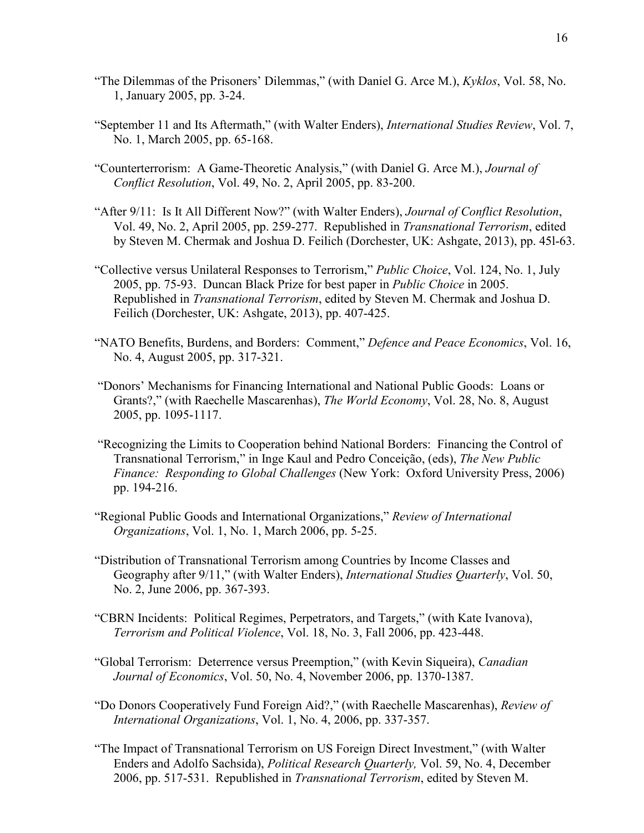- "The Dilemmas of the Prisoners' Dilemmas," (with Daniel G. Arce M.), *Kyklos*, Vol. 58, No. 1, January 2005, pp. 3-24.
- "September 11 and Its Aftermath," (with Walter Enders), *International Studies Review*, Vol. 7, No. 1, March 2005, pp. 65-168.
- "Counterterrorism: A Game-Theoretic Analysis," (with Daniel G. Arce M.), *Journal of Conflict Resolution*, Vol. 49, No. 2, April 2005, pp. 83-200.
- "After 9/11: Is It All Different Now?" (with Walter Enders), *Journal of Conflict Resolution*, Vol. 49, No. 2, April 2005, pp. 259-277. Republished in *Transnational Terrorism*, edited by Steven M. Chermak and Joshua D. Feilich (Dorchester, UK: Ashgate, 2013), pp. 45l-63.
- "Collective versus Unilateral Responses to Terrorism," *Public Choice*, Vol. 124, No. 1, July 2005, pp. 75-93. Duncan Black Prize for best paper in *Public Choice* in 2005. Republished in *Transnational Terrorism*, edited by Steven M. Chermak and Joshua D. Feilich (Dorchester, UK: Ashgate, 2013), pp. 407-425.
- "NATO Benefits, Burdens, and Borders: Comment," *Defence and Peace Economics*, Vol. 16, No. 4, August 2005, pp. 317-321.
- "Donors' Mechanisms for Financing International and National Public Goods: Loans or Grants?," (with Raechelle Mascarenhas), *The World Economy*, Vol. 28, No. 8, August 2005, pp. 1095-1117.
- "Recognizing the Limits to Cooperation behind National Borders: Financing the Control of Transnational Terrorism," in Inge Kaul and Pedro Conceição, (eds), *The New Public Finance: Responding to Global Challenges* (New York: Oxford University Press, 2006) pp. 194-216.
- "Regional Public Goods and International Organizations," *Review of International Organizations*, Vol. 1, No. 1, March 2006, pp. 5-25.
- "Distribution of Transnational Terrorism among Countries by Income Classes and Geography after 9/11," (with Walter Enders), *International Studies Quarterly*, Vol. 50, No. 2, June 2006, pp. 367-393.
- "CBRN Incidents: Political Regimes, Perpetrators, and Targets," (with Kate Ivanova), *Terrorism and Political Violence*, Vol. 18, No. 3, Fall 2006, pp. 423-448.
- "Global Terrorism: Deterrence versus Preemption," (with Kevin Siqueira), *Canadian Journal of Economics*, Vol. 50, No. 4, November 2006, pp. 1370-1387.
- "Do Donors Cooperatively Fund Foreign Aid?," (with Raechelle Mascarenhas), *Review of International Organizations*, Vol. 1, No. 4, 2006, pp. 337-357.
- "The Impact of Transnational Terrorism on US Foreign Direct Investment," (with Walter Enders and Adolfo Sachsida), *Political Research Quarterly,* Vol. 59, No. 4, December 2006, pp. 517-531. Republished in *Transnational Terrorism*, edited by Steven M.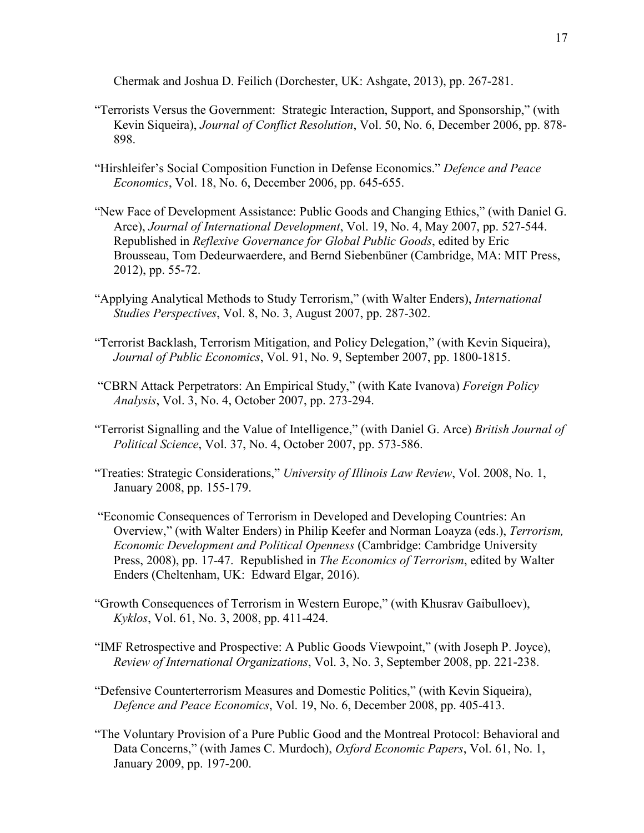Chermak and Joshua D. Feilich (Dorchester, UK: Ashgate, 2013), pp. 267-281.

- "Terrorists Versus the Government: Strategic Interaction, Support, and Sponsorship," (with Kevin Siqueira), *Journal of Conflict Resolution*, Vol. 50, No. 6, December 2006, pp. 878- 898.
- "Hirshleifer's Social Composition Function in Defense Economics." *Defence and Peace Economics*, Vol. 18, No. 6, December 2006, pp. 645-655.
- "New Face of Development Assistance: Public Goods and Changing Ethics," (with Daniel G. Arce), *Journal of International Development*, Vol. 19, No. 4, May 2007, pp. 527-544. Republished in *Reflexive Governance for Global Public Goods*, edited by Eric Brousseau, Tom Dedeurwaerdere, and Bernd Siebenbüner (Cambridge, MA: MIT Press, 2012), pp. 55-72.
- "Applying Analytical Methods to Study Terrorism," (with Walter Enders), *International Studies Perspectives*, Vol. 8, No. 3, August 2007, pp. 287-302.
- "Terrorist Backlash, Terrorism Mitigation, and Policy Delegation," (with Kevin Siqueira), *Journal of Public Economics*, Vol. 91, No. 9, September 2007, pp. 1800-1815.
- "CBRN Attack Perpetrators: An Empirical Study," (with Kate Ivanova) *Foreign Policy Analysis*, Vol. 3, No. 4, October 2007, pp. 273-294.
- "Terrorist Signalling and the Value of Intelligence," (with Daniel G. Arce) *British Journal of Political Science*, Vol. 37, No. 4, October 2007, pp. 573-586.
- "Treaties: Strategic Considerations," *University of Illinois Law Review*, Vol. 2008, No. 1, January 2008, pp. 155-179.
- "Economic Consequences of Terrorism in Developed and Developing Countries: An Overview," (with Walter Enders) in Philip Keefer and Norman Loayza (eds.), *Terrorism, Economic Development and Political Openness* (Cambridge: Cambridge University Press, 2008), pp. 17-47. Republished in *The Economics of Terrorism*, edited by Walter Enders (Cheltenham, UK: Edward Elgar, 2016).
- "Growth Consequences of Terrorism in Western Europe," (with Khusrav Gaibulloev), *Kyklos*, Vol. 61, No. 3, 2008, pp. 411-424.
- "IMF Retrospective and Prospective: A Public Goods Viewpoint," (with Joseph P. Joyce), *Review of International Organizations*, Vol. 3, No. 3, September 2008, pp. 221-238.
- "Defensive Counterterrorism Measures and Domestic Politics," (with Kevin Siqueira), *Defence and Peace Economics*, Vol. 19, No. 6, December 2008, pp. 405-413.
- "The Voluntary Provision of a Pure Public Good and the Montreal Protocol: Behavioral and Data Concerns," (with James C. Murdoch), *Oxford Economic Papers*, Vol. 61, No. 1, January 2009, pp. 197-200.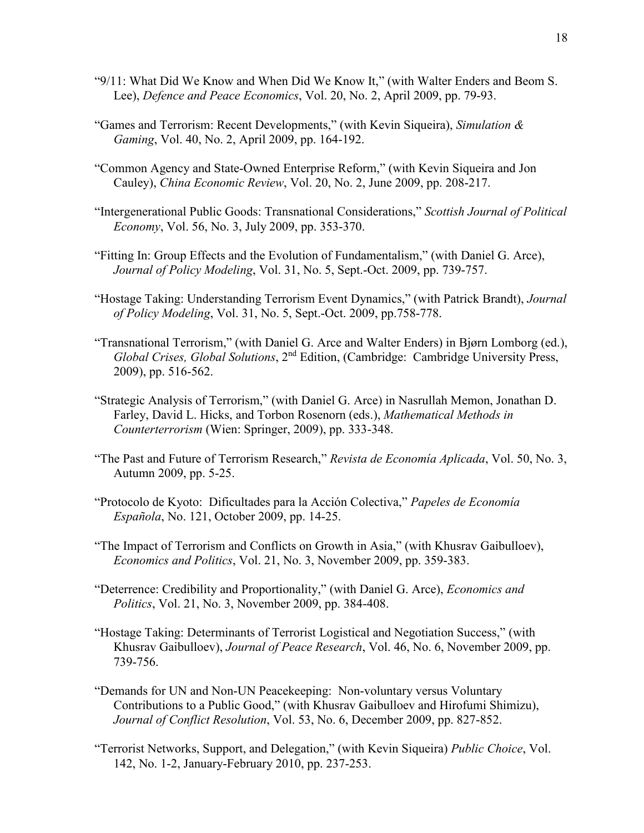- "9/11: What Did We Know and When Did We Know It," (with Walter Enders and Beom S. Lee), *Defence and Peace Economics*, Vol. 20, No. 2, April 2009, pp. 79-93.
- "Games and Terrorism: Recent Developments," (with Kevin Siqueira), *Simulation & Gaming*, Vol. 40, No. 2, April 2009, pp. 164-192.
- "Common Agency and State-Owned Enterprise Reform," (with Kevin Siqueira and Jon Cauley), *China Economic Review*, Vol. 20, No. 2, June 2009, pp. 208-217.
- "Intergenerational Public Goods: Transnational Considerations," *Scottish Journal of Political Economy*, Vol. 56, No. 3, July 2009, pp. 353-370.
- "Fitting In: Group Effects and the Evolution of Fundamentalism," (with Daniel G. Arce), *Journal of Policy Modeling*, Vol. 31, No. 5, Sept.-Oct. 2009, pp. 739-757.
- "Hostage Taking: Understanding Terrorism Event Dynamics," (with Patrick Brandt), *Journal of Policy Modeling*, Vol. 31, No. 5, Sept.-Oct. 2009, pp.758-778.
- "Transnational Terrorism," (with Daniel G. Arce and Walter Enders) in Bjørn Lomborg (ed.), *Global Crises, Global Solutions*, 2nd Edition, (Cambridge: Cambridge University Press, 2009), pp. 516-562.
- "Strategic Analysis of Terrorism," (with Daniel G. Arce) in Nasrullah Memon, Jonathan D. Farley, David L. Hicks, and Torbon Rosenorn (eds.), *Mathematical Methods in Counterterrorism* (Wien: Springer, 2009), pp. 333-348.
- "The Past and Future of Terrorism Research," *Revista de Economía Aplicada*, Vol. 50, No. 3, Autumn 2009, pp. 5-25.
- "Protocolo de Kyoto: Dificultades para la Acción Colectiva," *Papeles de Economía Española*, No. 121, October 2009, pp. 14-25.
- "The Impact of Terrorism and Conflicts on Growth in Asia," (with Khusrav Gaibulloev), *Economics and Politics*, Vol. 21, No. 3, November 2009, pp. 359-383.
- "Deterrence: Credibility and Proportionality," (with Daniel G. Arce), *Economics and Politics*, Vol. 21, No. 3, November 2009, pp. 384-408.
- "Hostage Taking: Determinants of Terrorist Logistical and Negotiation Success," (with Khusrav Gaibulloev), *Journal of Peace Research*, Vol. 46, No. 6, November 2009, pp. 739-756.
- "Demands for UN and Non-UN Peacekeeping: Non-voluntary versus Voluntary Contributions to a Public Good," (with Khusrav Gaibulloev and Hirofumi Shimizu), *Journal of Conflict Resolution*, Vol. 53, No. 6, December 2009, pp. 827-852.
- "Terrorist Networks, Support, and Delegation," (with Kevin Siqueira) *Public Choice*, Vol. 142, No. 1-2, January-February 2010, pp. 237-253.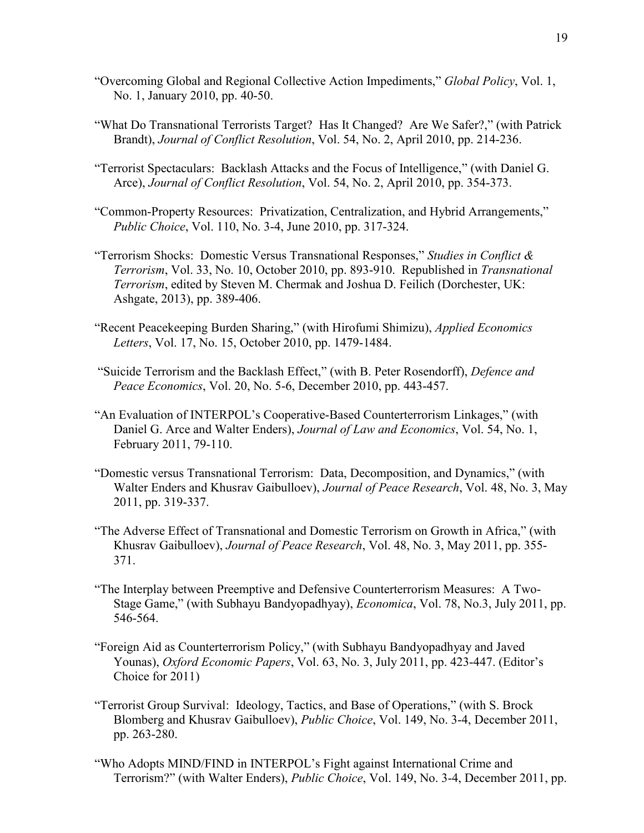- "Overcoming Global and Regional Collective Action Impediments," *Global Policy*, Vol. 1, No. 1, January 2010, pp. 40-50.
- "What Do Transnational Terrorists Target? Has It Changed? Are We Safer?," (with Patrick Brandt), *Journal of Conflict Resolution*, Vol. 54, No. 2, April 2010, pp. 214-236.
- "Terrorist Spectaculars: Backlash Attacks and the Focus of Intelligence," (with Daniel G. Arce), *Journal of Conflict Resolution*, Vol. 54, No. 2, April 2010, pp. 354-373.
- "Common-Property Resources: Privatization, Centralization, and Hybrid Arrangements," *Public Choice*, Vol. 110, No. 3-4, June 2010, pp. 317-324.
- "Terrorism Shocks: Domestic Versus Transnational Responses," *Studies in Conflict & Terrorism*, Vol. 33, No. 10, October 2010, pp. 893-910. Republished in *Transnational Terrorism*, edited by Steven M. Chermak and Joshua D. Feilich (Dorchester, UK: Ashgate, 2013), pp. 389-406.
- "Recent Peacekeeping Burden Sharing," (with Hirofumi Shimizu), *Applied Economics Letters*, Vol. 17, No. 15, October 2010, pp. 1479-1484.
- "Suicide Terrorism and the Backlash Effect," (with B. Peter Rosendorff), *Defence and Peace Economics*, Vol. 20, No. 5-6, December 2010, pp. 443-457.
- "An Evaluation of INTERPOL's Cooperative-Based Counterterrorism Linkages," (with Daniel G. Arce and Walter Enders), *Journal of Law and Economics*, Vol. 54, No. 1, February 2011, 79-110.
- "Domestic versus Transnational Terrorism: Data, Decomposition, and Dynamics," (with Walter Enders and Khusrav Gaibulloev), *Journal of Peace Research*, Vol. 48, No. 3, May 2011, pp. 319-337.
- "The Adverse Effect of Transnational and Domestic Terrorism on Growth in Africa," (with Khusrav Gaibulloev), *Journal of Peace Research*, Vol. 48, No. 3, May 2011, pp. 355- 371.
- "The Interplay between Preemptive and Defensive Counterterrorism Measures: A Two-Stage Game," (with Subhayu Bandyopadhyay), *Economica*, Vol. 78, No.3, July 2011, pp. 546-564.
- "Foreign Aid as Counterterrorism Policy," (with Subhayu Bandyopadhyay and Javed Younas), *Oxford Economic Papers*, Vol. 63, No. 3, July 2011, pp. 423-447. (Editor's Choice for 2011)
- "Terrorist Group Survival: Ideology, Tactics, and Base of Operations," (with S. Brock Blomberg and Khusrav Gaibulloev), *Public Choice*, Vol. 149, No. 3-4, December 2011, pp. 263-280.
- "Who Adopts MIND/FIND in INTERPOL's Fight against International Crime and Terrorism?" (with Walter Enders), *Public Choice*, Vol. 149, No. 3-4, December 2011, pp.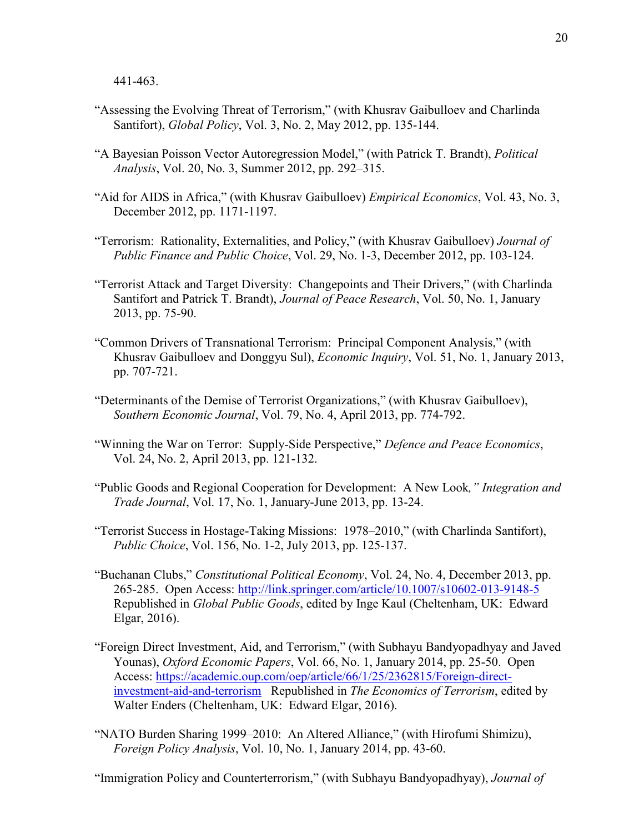441-463.

- "Assessing the Evolving Threat of Terrorism," (with Khusrav Gaibulloev and Charlinda Santifort), *Global Policy*, Vol. 3, No. 2, May 2012, pp. 135-144.
- "A Bayesian Poisson Vector Autoregression Model," (with Patrick T. Brandt), *Political Analysis*, Vol. 20, No. 3, Summer 2012, pp. 292–315.
- "Aid for AIDS in Africa," (with Khusrav Gaibulloev) *Empirical Economics*, Vol. 43, No. 3, December 2012, pp. 1171-1197.
- "Terrorism: Rationality, Externalities, and Policy," (with Khusrav Gaibulloev) *Journal of Public Finance and Public Choice*, Vol. 29, No. 1-3, December 2012, pp. 103-124.
- "Terrorist Attack and Target Diversity: Changepoints and Their Drivers," (with Charlinda Santifort and Patrick T. Brandt), *Journal of Peace Research*, Vol. 50, No. 1, January 2013, pp. 75-90.
- "Common Drivers of Transnational Terrorism: Principal Component Analysis," (with Khusrav Gaibulloev and Donggyu Sul), *Economic Inquiry*, Vol. 51, No. 1, January 2013, pp. 707-721.
- "Determinants of the Demise of Terrorist Organizations," (with Khusrav Gaibulloev), *Southern Economic Journal*, Vol. 79, No. 4, April 2013, pp. 774-792.
- "Winning the War on Terror: Supply-Side Perspective," *Defence and Peace Economics*, Vol. 24, No. 2, April 2013, pp. 121-132.
- "Public Goods and Regional Cooperation for Development: A New Look*," Integration and Trade Journal*, Vol. 17, No. 1, January-June 2013, pp. 13-24.
- "Terrorist Success in Hostage-Taking Missions: 1978–2010," (with Charlinda Santifort), *Public Choice*, Vol. 156, No. 1-2, July 2013, pp. 125-137.
- "Buchanan Clubs," *Constitutional Political Economy*, Vol. 24, No. 4, December 2013, pp. 265-285. Open Access:<http://link.springer.com/article/10.1007/s10602-013-9148-5> Republished in *Global Public Goods*, edited by Inge Kaul (Cheltenham, UK: Edward Elgar, 2016).
- "Foreign Direct Investment, Aid, and Terrorism," (with Subhayu Bandyopadhyay and Javed Younas), *Oxford Economic Papers*, Vol. 66, No. 1, January 2014, pp. 25-50. Open Access: [https://academic.oup.com/oep/article/66/1/25/2362815/Foreign-direct](https://academic.oup.com/oep/article/66/1/25/2362815/Foreign-direct-investment-aid-and-terrorism)[investment-aid-and-terrorism](https://academic.oup.com/oep/article/66/1/25/2362815/Foreign-direct-investment-aid-and-terrorism) Republished in *The Economics of Terrorism*, edited by Walter Enders (Cheltenham, UK: Edward Elgar, 2016).
- "NATO Burden Sharing 1999–2010: An Altered Alliance," (with Hirofumi Shimizu), *Foreign Policy Analysis*, Vol. 10, No. 1, January 2014, pp. 43-60.

"Immigration Policy and Counterterrorism," (with Subhayu Bandyopadhyay), *Journal of*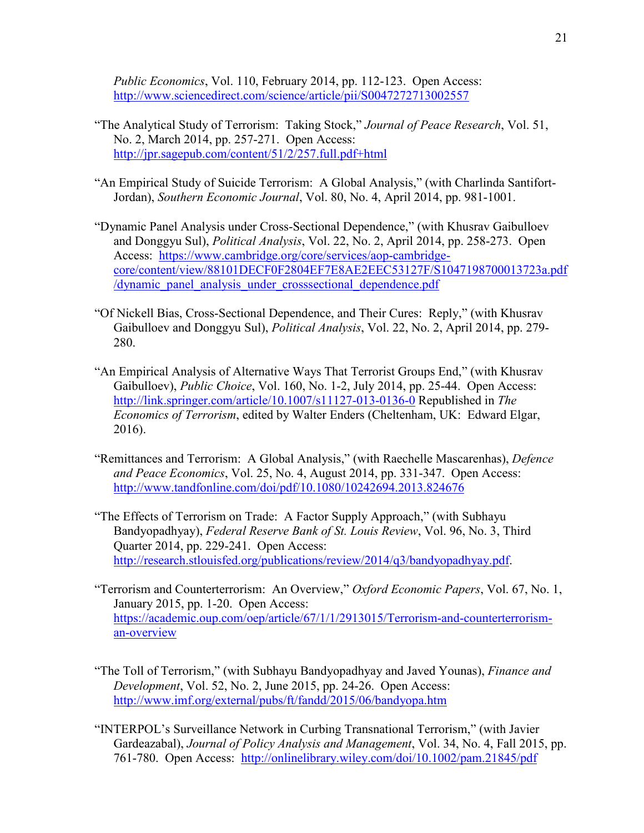*Public Economics*, Vol. 110, February 2014, pp. 112-123. Open Access: <http://www.sciencedirect.com/science/article/pii/S0047272713002557>

- "The Analytical Study of Terrorism: Taking Stock," *Journal of Peace Research*, Vol. 51, No. 2, March 2014, pp. 257-271. Open Access: <http://jpr.sagepub.com/content/51/2/257.full.pdf+html>
- "An Empirical Study of Suicide Terrorism: A Global Analysis," (with Charlinda Santifort-Jordan), *Southern Economic Journal*, Vol. 80, No. 4, April 2014, pp. 981-1001.
- "Dynamic Panel Analysis under Cross-Sectional Dependence," (with Khusrav Gaibulloev and Donggyu Sul), *Political Analysis*, Vol. 22, No. 2, April 2014, pp. 258-273. Open Access: [https://www.cambridge.org/core/services/aop-cambridge](https://www.cambridge.org/core/services/aop-cambridge-core/content/view/88101DECF0F2804EF7E8AE2EEC53127F/S1047198700013723a.pdf/dynamic_panel_analysis_under_crosssectional_dependence.pdf)[core/content/view/88101DECF0F2804EF7E8AE2EEC53127F/S1047198700013723a.pdf](https://www.cambridge.org/core/services/aop-cambridge-core/content/view/88101DECF0F2804EF7E8AE2EEC53127F/S1047198700013723a.pdf/dynamic_panel_analysis_under_crosssectional_dependence.pdf) [/dynamic\\_panel\\_analysis\\_under\\_crosssectional\\_dependence.pdf](https://www.cambridge.org/core/services/aop-cambridge-core/content/view/88101DECF0F2804EF7E8AE2EEC53127F/S1047198700013723a.pdf/dynamic_panel_analysis_under_crosssectional_dependence.pdf)
- "Of Nickell Bias, Cross-Sectional Dependence, and Their Cures: Reply," (with Khusrav Gaibulloev and Donggyu Sul), *Political Analysis*, Vol. 22, No. 2, April 2014, pp. 279- 280.
- "An Empirical Analysis of Alternative Ways That Terrorist Groups End," (with Khusrav Gaibulloev), *Public Choice*, Vol. 160, No. 1-2, July 2014, pp. 25-44. Open Access: <http://link.springer.com/article/10.1007/s11127-013-0136-0> Republished in *The Economics of Terrorism*, edited by Walter Enders (Cheltenham, UK: Edward Elgar, 2016).
- "Remittances and Terrorism: A Global Analysis," (with Raechelle Mascarenhas), *Defence and Peace Economics*, Vol. 25, No. 4, August 2014, pp. 331-347. Open Access: <http://www.tandfonline.com/doi/pdf/10.1080/10242694.2013.824676>
- "The Effects of Terrorism on Trade: A Factor Supply Approach," (with Subhayu Bandyopadhyay), *Federal Reserve Bank of St. Louis Review*, Vol. 96, No. 3, Third Quarter 2014, pp. 229-241. Open Access: [http://research.stlouisfed.org/publications/review/2014/q3/bandyopadhyay.pdf.](http://research.stlouisfed.org/publications/review/2014/q3/bandyopadhyay.pdf)
- "Terrorism and Counterterrorism: An Overview," *Oxford Economic Papers*, Vol. 67, No. 1, January 2015, pp. 1-20. Open Access: [https://academic.oup.com/oep/article/67/1/1/2913015/Terrorism-and-counterterrorism](https://academic.oup.com/oep/article/67/1/1/2913015/Terrorism-and-counterterrorism-an-overview)[an-overview](https://academic.oup.com/oep/article/67/1/1/2913015/Terrorism-and-counterterrorism-an-overview)
- "The Toll of Terrorism," (with Subhayu Bandyopadhyay and Javed Younas), *Finance and Development*, Vol. 52, No. 2, June 2015, pp. 24-26. Open Access: <http://www.imf.org/external/pubs/ft/fandd/2015/06/bandyopa.htm>
- "INTERPOL's Surveillance Network in Curbing Transnational Terrorism," (with Javier Gardeazabal), *Journal of Policy Analysis and Management*, Vol. 34, No. 4, Fall 2015, pp. 761-780. Open Access: <http://onlinelibrary.wiley.com/doi/10.1002/pam.21845/pdf>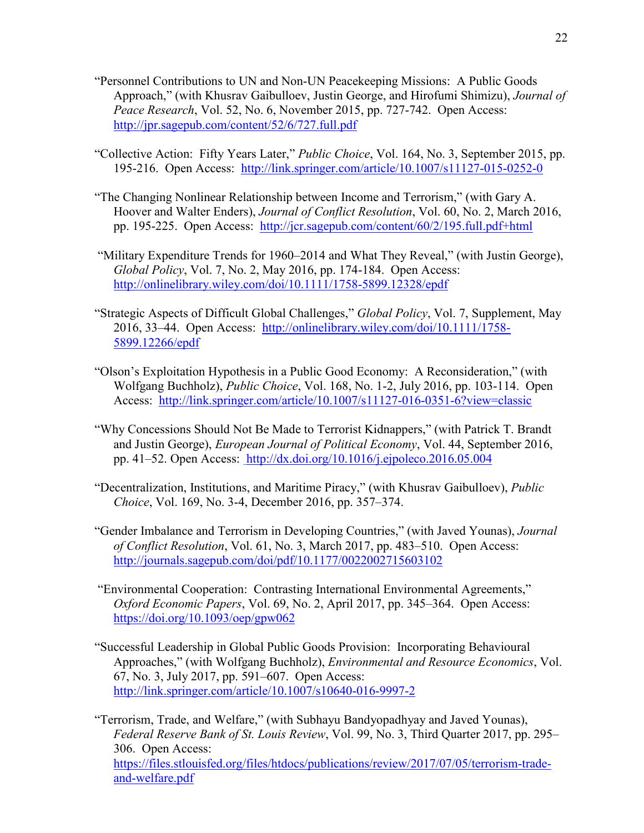- "Personnel Contributions to UN and Non-UN Peacekeeping Missions: A Public Goods Approach," (with Khusrav Gaibulloev, Justin George, and Hirofumi Shimizu), *Journal of Peace Research*, Vol. 52, No. 6, November 2015, pp. 727-742. Open Access: <http://jpr.sagepub.com/content/52/6/727.full.pdf>
- "Collective Action: Fifty Years Later," *Public Choice*, Vol. 164, No. 3, September 2015, pp. 195-216. Open Access: <http://link.springer.com/article/10.1007/s11127-015-0252-0>
- "The Changing Nonlinear Relationship between Income and Terrorism," (with Gary A. Hoover and Walter Enders), *Journal of Conflict Resolution*, Vol. 60, No. 2, March 2016, pp. 195-225. Open Access: <http://jcr.sagepub.com/content/60/2/195.full.pdf+html>
- "Military Expenditure Trends for 1960–2014 and What They Reveal," (with Justin George), *Global Policy*, Vol. 7, No. 2, May 2016, pp. 174-184. Open Access: <http://onlinelibrary.wiley.com/doi/10.1111/1758-5899.12328/epdf>
- "Strategic Aspects of Difficult Global Challenges," *Global Policy*, Vol. 7, Supplement, May 2016, 33–44. Open Access: [http://onlinelibrary.wiley.com/doi/10.1111/1758-](http://onlinelibrary.wiley.com/doi/10.1111/1758-5899.12266/epdf) [5899.12266/epdf](http://onlinelibrary.wiley.com/doi/10.1111/1758-5899.12266/epdf)
- "Olson's Exploitation Hypothesis in a Public Good Economy: A Reconsideration," (with Wolfgang Buchholz), *Public Choice*, Vol. 168, No. 1-2, July 2016, pp. 103-114. Open Access: <http://link.springer.com/article/10.1007/s11127-016-0351-6?view=classic>
- "Why Concessions Should Not Be Made to Terrorist Kidnappers," (with Patrick T. Brandt and Justin George), *European Journal of Political Economy*, Vol. 44, September 2016, pp. 41–52. Open Access: <http://dx.doi.org/10.1016/j.ejpoleco.2016.05.004>
- "Decentralization, Institutions, and Maritime Piracy," (with Khusrav Gaibulloev), *Public Choice*, Vol. 169, No. 3-4, December 2016, pp. 357–374.
- "Gender Imbalance and Terrorism in Developing Countries," (with Javed Younas), *Journal of Conflict Resolution*, Vol. 61, No. 3, March 2017, pp. 483–510. Open Access: <http://journals.sagepub.com/doi/pdf/10.1177/0022002715603102>
- "Environmental Cooperation: Contrasting International Environmental Agreements," *Oxford Economic Papers*, Vol. 69, No. 2, April 2017, pp. 345–364. Open Access: <https://doi.org/10.1093/oep/gpw062>
- "Successful Leadership in Global Public Goods Provision: Incorporating Behavioural Approaches," (with Wolfgang Buchholz), *Environmental and Resource Economics*, Vol. 67, No. 3, July 2017, pp. 591–607. Open Access: <http://link.springer.com/article/10.1007/s10640-016-9997-2>

"Terrorism, Trade, and Welfare," (with Subhayu Bandyopadhyay and Javed Younas), *Federal Reserve Bank of St. Louis Review*, Vol. 99, No. 3, Third Quarter 2017, pp. 295– 306. Open Access: [https://files.stlouisfed.org/files/htdocs/publications/review/2017/07/05/terrorism-trade](https://files.stlouisfed.org/files/htdocs/publications/review/2017/07/05/terrorism-trade-and-welfare.pdf)[and-welfare.pdf](https://files.stlouisfed.org/files/htdocs/publications/review/2017/07/05/terrorism-trade-and-welfare.pdf)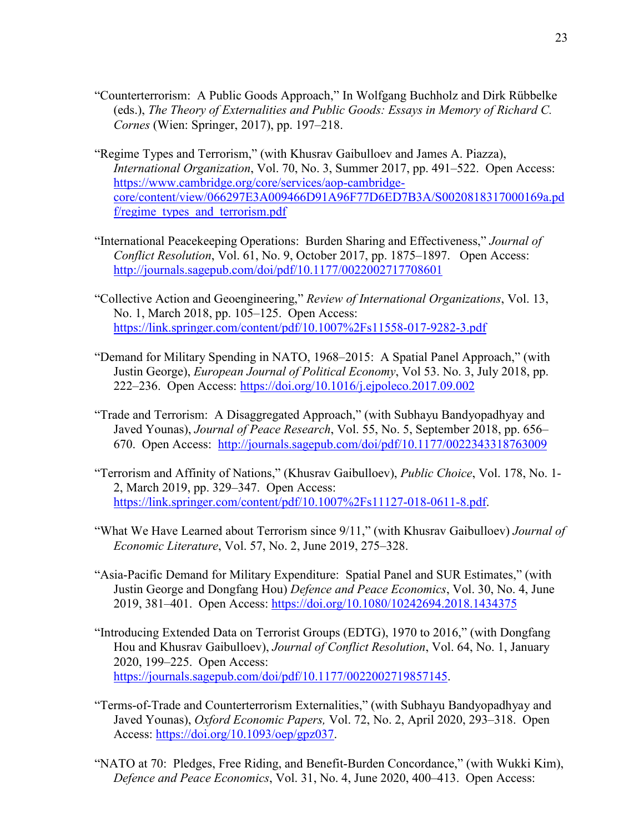- "Counterterrorism: A Public Goods Approach," In Wolfgang Buchholz and Dirk Rübbelke (eds.), *The Theory of Externalities and Public Goods: Essays in Memory of Richard C. Cornes* (Wien: Springer, 2017), pp. 197–218.
- "Regime Types and Terrorism," (with Khusrav Gaibulloev and James A. Piazza), *International Organization*, Vol. 70, No. 3, Summer 2017, pp. 491–522. Open Access: [https://www.cambridge.org/core/services/aop-cambridge](https://www.cambridge.org/core/services/aop-cambridge-core/content/view/066297E3A009466D91A96F77D6ED7B3A/S0020818317000169a.pdf/regime_types_and_terrorism.pdf)[core/content/view/066297E3A009466D91A96F77D6ED7B3A/S0020818317000169a.pd](https://www.cambridge.org/core/services/aop-cambridge-core/content/view/066297E3A009466D91A96F77D6ED7B3A/S0020818317000169a.pdf/regime_types_and_terrorism.pdf) [f/regime\\_types\\_and\\_terrorism.pdf](https://www.cambridge.org/core/services/aop-cambridge-core/content/view/066297E3A009466D91A96F77D6ED7B3A/S0020818317000169a.pdf/regime_types_and_terrorism.pdf)
- "International Peacekeeping Operations: Burden Sharing and Effectiveness," *Journal of Conflict Resolution*, Vol. 61, No. 9, October 2017, pp. 1875–1897. Open Access: <http://journals.sagepub.com/doi/pdf/10.1177/0022002717708601>
- "Collective Action and Geoengineering," *Review of International Organizations*, Vol. 13, No. 1, March 2018, pp. 105–125. Open Access: <https://link.springer.com/content/pdf/10.1007%2Fs11558-017-9282-3.pdf>
- "Demand for Military Spending in NATO, 1968–2015: A Spatial Panel Approach," (with Justin George), *European Journal of Political Economy*, Vol 53. No. 3, July 2018, pp. 222–236. Open Access:<https://doi.org/10.1016/j.ejpoleco.2017.09.002>
- "Trade and Terrorism: A Disaggregated Approach," (with Subhayu Bandyopadhyay and Javed Younas), *Journal of Peace Research*, Vol. 55, No. 5, September 2018, pp. 656– 670. Open Access: <http://journals.sagepub.com/doi/pdf/10.1177/0022343318763009>
- "Terrorism and Affinity of Nations," (Khusrav Gaibulloev), *Public Choice*, Vol. 178, No. 1- 2, March 2019, pp. 329–347. Open Access: [https://link.springer.com/content/pdf/10.1007%2Fs11127-018-0611-8.pdf.](https://link.springer.com/content/pdf/10.1007%2Fs11127-018-0611-8.pdf)
- "What We Have Learned about Terrorism since 9/11," (with Khusrav Gaibulloev) *Journal of Economic Literature*, Vol. 57, No. 2, June 2019, 275–328.
- "Asia-Pacific Demand for Military Expenditure: Spatial Panel and SUR Estimates," (with Justin George and Dongfang Hou) *Defence and Peace Economics*, Vol. 30, No. 4, June 2019, 381–401. Open Access:<https://doi.org/10.1080/10242694.2018.1434375>
- "Introducing Extended Data on Terrorist Groups (EDTG), 1970 to 2016," (with Dongfang Hou and Khusrav Gaibulloev), *Journal of Conflict Resolution*, Vol. 64, No. 1, January 2020, 199–225. Open Access: [https://journals.sagepub.com/doi/pdf/10.1177/0022002719857145.](https://journals.sagepub.com/doi/pdf/10.1177/0022002719857145)
- "Terms-of-Trade and Counterterrorism Externalities," (with Subhayu Bandyopadhyay and Javed Younas), *Oxford Economic Papers,* Vol. 72, No. 2, April 2020, 293–318. Open Access: [https://doi.org/10.1093/oep/gpz037.](https://doi.org/10.1093/oep/gpz037)
- "NATO at 70: Pledges, Free Riding, and Benefit-Burden Concordance," (with Wukki Kim), *Defence and Peace Economics*, Vol. 31, No. 4, June 2020, 400–413. Open Access: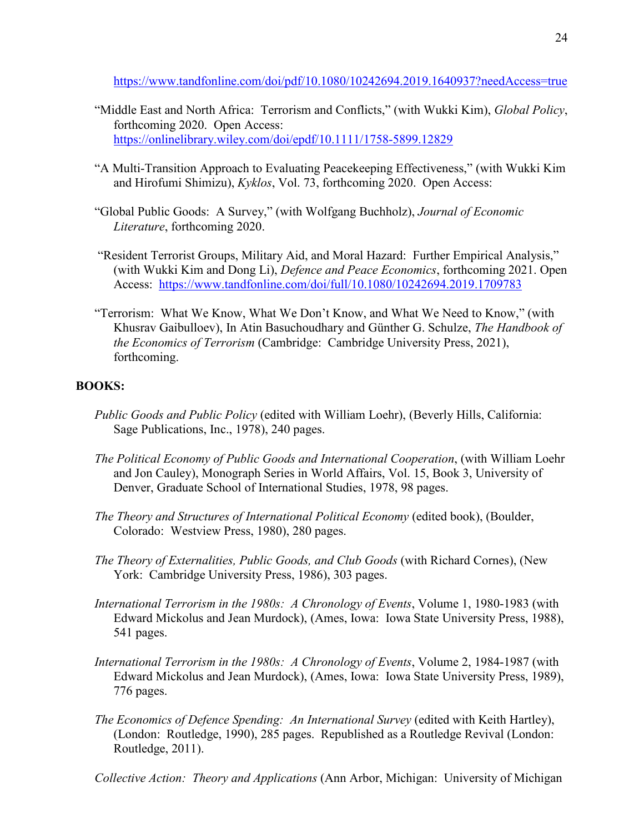<https://www.tandfonline.com/doi/pdf/10.1080/10242694.2019.1640937?needAccess=true>

- "Middle East and North Africa: Terrorism and Conflicts," (with Wukki Kim), *Global Policy*, forthcoming 2020. Open Access: <https://onlinelibrary.wiley.com/doi/epdf/10.1111/1758-5899.12829>
- "A Multi-Transition Approach to Evaluating Peacekeeping Effectiveness," (with Wukki Kim and Hirofumi Shimizu), *Kyklos*, Vol. 73, forthcoming 2020. Open Access:
- "Global Public Goods: A Survey," (with Wolfgang Buchholz), *Journal of Economic Literature*, forthcoming 2020.
- "Resident Terrorist Groups, Military Aid, and Moral Hazard: Further Empirical Analysis," (with Wukki Kim and Dong Li), *Defence and Peace Economics*, forthcoming 2021. Open Access: <https://www.tandfonline.com/doi/full/10.1080/10242694.2019.1709783>
- "Terrorism: What We Know, What We Don't Know, and What We Need to Know," (with Khusrav Gaibulloev), In Atin Basuchoudhary and Günther G. Schulze, *The Handbook of the Economics of Terrorism* (Cambridge: Cambridge University Press, 2021), forthcoming.

## **BOOKS:**

- *Public Goods and Public Policy* (edited with William Loehr), (Beverly Hills, California: Sage Publications, Inc., 1978), 240 pages.
- *The Political Economy of Public Goods and International Cooperation*, (with William Loehr and Jon Cauley), Monograph Series in World Affairs, Vol. 15, Book 3, University of Denver, Graduate School of International Studies, 1978, 98 pages.
- *The Theory and Structures of International Political Economy (edited book), (Boulder,* Colorado: Westview Press, 1980), 280 pages.
- *The Theory of Externalities, Public Goods, and Club Goods* (with Richard Cornes), (New York: Cambridge University Press, 1986), 303 pages.
- *International Terrorism in the 1980s: A Chronology of Events*, Volume 1, 1980-1983 (with Edward Mickolus and Jean Murdock), (Ames, Iowa: Iowa State University Press, 1988), 541 pages.
- *International Terrorism in the 1980s: A Chronology of Events*, Volume 2, 1984-1987 (with Edward Mickolus and Jean Murdock), (Ames, Iowa: Iowa State University Press, 1989), 776 pages.
- *The Economics of Defence Spending: An International Survey* (edited with Keith Hartley), (London: Routledge, 1990), 285 pages. Republished as a Routledge Revival (London: Routledge, 2011).

*Collective Action: Theory and Applications* (Ann Arbor, Michigan: University of Michigan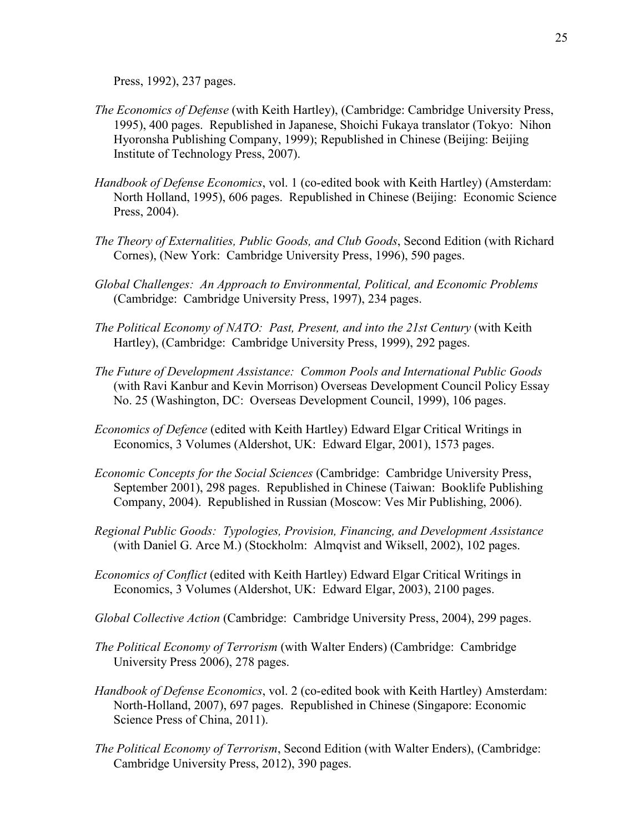Press, 1992), 237 pages.

- *The Economics of Defense* (with Keith Hartley), (Cambridge: Cambridge University Press, 1995), 400 pages. Republished in Japanese, Shoichi Fukaya translator (Tokyo: Nihon Hyoronsha Publishing Company, 1999); Republished in Chinese (Beijing: Beijing Institute of Technology Press, 2007).
- *Handbook of Defense Economics*, vol. 1 (co-edited book with Keith Hartley) (Amsterdam: North Holland, 1995), 606 pages. Republished in Chinese (Beijing: Economic Science Press, 2004).
- *The Theory of Externalities, Public Goods, and Club Goods*, Second Edition (with Richard Cornes), (New York: Cambridge University Press, 1996), 590 pages.
- *Global Challenges: An Approach to Environmental, Political, and Economic Problems* (Cambridge: Cambridge University Press, 1997), 234 pages.
- *The Political Economy of NATO: Past, Present, and into the 21st Century* (with Keith Hartley), (Cambridge: Cambridge University Press, 1999), 292 pages.
- *The Future of Development Assistance: Common Pools and International Public Goods* (with Ravi Kanbur and Kevin Morrison) Overseas Development Council Policy Essay No. 25 (Washington, DC: Overseas Development Council, 1999), 106 pages.
- *Economics of Defence* (edited with Keith Hartley) Edward Elgar Critical Writings in Economics, 3 Volumes (Aldershot, UK: Edward Elgar, 2001), 1573 pages.
- *Economic Concepts for the Social Sciences* (Cambridge: Cambridge University Press, September 2001), 298 pages. Republished in Chinese (Taiwan: Booklife Publishing Company, 2004). Republished in Russian (Moscow: Ves Mir Publishing, 2006).
- *Regional Public Goods: Typologies, Provision, Financing, and Development Assistance* (with Daniel G. Arce M.) (Stockholm: Almqvist and Wiksell, 2002), 102 pages.
- *Economics of Conflict* (edited with Keith Hartley) Edward Elgar Critical Writings in Economics, 3 Volumes (Aldershot, UK: Edward Elgar, 2003), 2100 pages.
- *Global Collective Action* (Cambridge: Cambridge University Press, 2004), 299 pages.
- *The Political Economy of Terrorism* (with Walter Enders) (Cambridge: Cambridge University Press 2006), 278 pages.
- *Handbook of Defense Economics*, vol. 2 (co-edited book with Keith Hartley) Amsterdam: North-Holland, 2007), 697 pages. Republished in Chinese (Singapore: Economic Science Press of China, 2011).
- *The Political Economy of Terrorism*, Second Edition (with Walter Enders), (Cambridge: Cambridge University Press, 2012), 390 pages.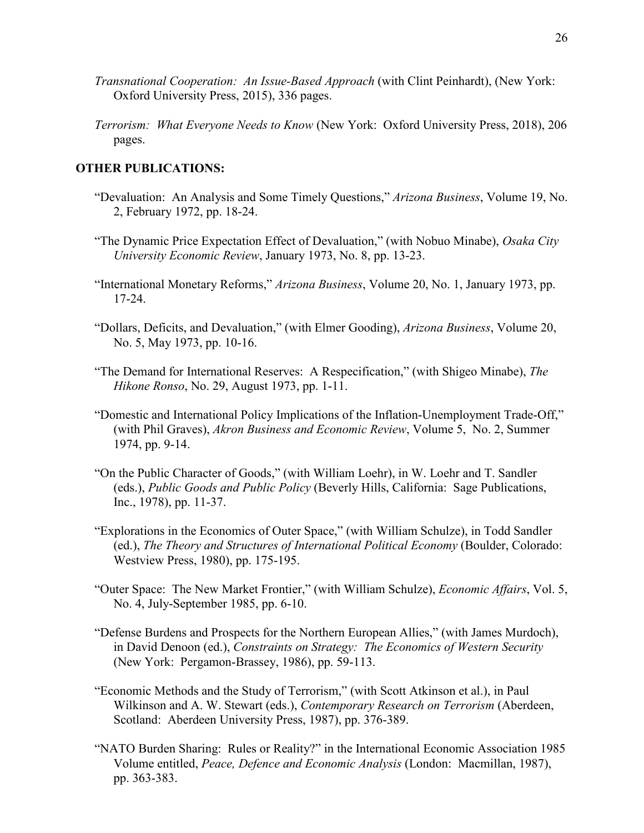- *Transnational Cooperation: An Issue-Based Approach* (with Clint Peinhardt), (New York: Oxford University Press, 2015), 336 pages.
- *Terrorism: What Everyone Needs to Know* (New York: Oxford University Press, 2018), 206 pages.

#### **OTHER PUBLICATIONS:**

- "Devaluation: An Analysis and Some Timely Questions," *Arizona Business*, Volume 19, No. 2, February 1972, pp. 18-24.
- "The Dynamic Price Expectation Effect of Devaluation," (with Nobuo Minabe), *Osaka City University Economic Review*, January 1973, No. 8, pp. 13-23.
- "International Monetary Reforms," *Arizona Business*, Volume 20, No. 1, January 1973, pp. 17-24.
- "Dollars, Deficits, and Devaluation," (with Elmer Gooding), *Arizona Business*, Volume 20, No. 5, May 1973, pp. 10-16.
- "The Demand for International Reserves: A Respecification," (with Shigeo Minabe), *The Hikone Ronso*, No. 29, August 1973, pp. 1-11.
- "Domestic and International Policy Implications of the Inflation-Unemployment Trade-Off," (with Phil Graves), *Akron Business and Economic Review*, Volume 5, No. 2, Summer 1974, pp. 9-14.
- "On the Public Character of Goods," (with William Loehr), in W. Loehr and T. Sandler (eds.), *Public Goods and Public Policy* (Beverly Hills, California: Sage Publications, Inc., 1978), pp. 11-37.
- "Explorations in the Economics of Outer Space," (with William Schulze), in Todd Sandler (ed.), *The Theory and Structures of International Political Economy* (Boulder, Colorado: Westview Press, 1980), pp. 175-195.
- "Outer Space: The New Market Frontier," (with William Schulze), *Economic Affairs*, Vol. 5, No. 4, July-September 1985, pp. 6-10.
- "Defense Burdens and Prospects for the Northern European Allies," (with James Murdoch), in David Denoon (ed.), *Constraints on Strategy: The Economics of Western Security* (New York: Pergamon-Brassey, 1986), pp. 59-113.
- "Economic Methods and the Study of Terrorism," (with Scott Atkinson et al.), in Paul Wilkinson and A. W. Stewart (eds.), *Contemporary Research on Terrorism* (Aberdeen, Scotland: Aberdeen University Press, 1987), pp. 376-389.
- "NATO Burden Sharing: Rules or Reality?" in the International Economic Association 1985 Volume entitled, *Peace, Defence and Economic Analysis* (London: Macmillan, 1987), pp. 363-383.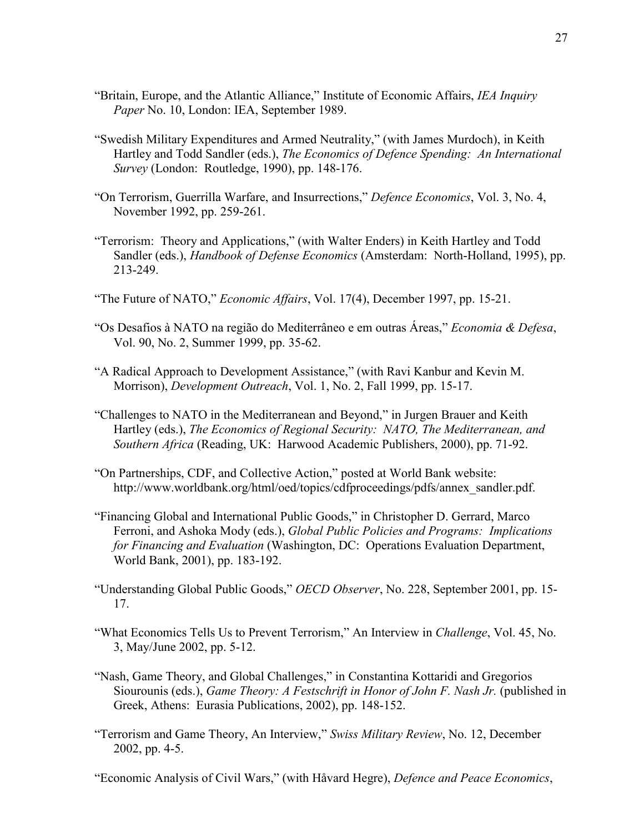- "Britain, Europe, and the Atlantic Alliance," Institute of Economic Affairs, *IEA Inquiry Paper* No. 10, London: IEA, September 1989.
- "Swedish Military Expenditures and Armed Neutrality," (with James Murdoch), in Keith Hartley and Todd Sandler (eds.), *The Economics of Defence Spending: An International Survey* (London: Routledge, 1990), pp. 148-176.
- "On Terrorism, Guerrilla Warfare, and Insurrections," *Defence Economics*, Vol. 3, No. 4, November 1992, pp. 259-261.
- "Terrorism: Theory and Applications," (with Walter Enders) in Keith Hartley and Todd Sandler (eds.), *Handbook of Defense Economics* (Amsterdam: North-Holland, 1995), pp. 213-249.
- "The Future of NATO," *Economic Affairs*, Vol. 17(4), December 1997, pp. 15-21.
- "Os Desafios à NATO na região do Mediterrâneo e em outras Áreas," *Economia & Defesa*, Vol. 90, No. 2, Summer 1999, pp. 35-62.
- "A Radical Approach to Development Assistance," (with Ravi Kanbur and Kevin M. Morrison), *Development Outreach*, Vol. 1, No. 2, Fall 1999, pp. 15-17.
- "Challenges to NATO in the Mediterranean and Beyond," in Jurgen Brauer and Keith Hartley (eds.), *The Economics of Regional Security: NATO, The Mediterranean, and Southern Africa* (Reading, UK: Harwood Academic Publishers, 2000), pp. 71-92.
- "On Partnerships, CDF, and Collective Action," posted at World Bank website: http://www.worldbank.org/html/oed/topics/cdfproceedings/pdfs/annex\_sandler.pdf.
- "Financing Global and International Public Goods," in Christopher D. Gerrard, Marco Ferroni, and Ashoka Mody (eds.), *Global Public Policies and Programs: Implications for Financing and Evaluation* (Washington, DC: Operations Evaluation Department, World Bank, 2001), pp. 183-192.
- "Understanding Global Public Goods," *OECD Observer*, No. 228, September 2001, pp. 15- 17.
- "What Economics Tells Us to Prevent Terrorism," An Interview in *Challenge*, Vol. 45, No. 3, May/June 2002, pp. 5-12.
- "Nash, Game Theory, and Global Challenges," in Constantina Kottaridi and Gregorios Siourounis (eds.), *Game Theory: A Festschrift in Honor of John F. Nash Jr.* (published in Greek, Athens: Eurasia Publications, 2002), pp. 148-152.
- "Terrorism and Game Theory, An Interview," *Swiss Military Review*, No. 12, December 2002, pp. 4-5.

"Economic Analysis of Civil Wars," (with Håvard Hegre), *Defence and Peace Economics*,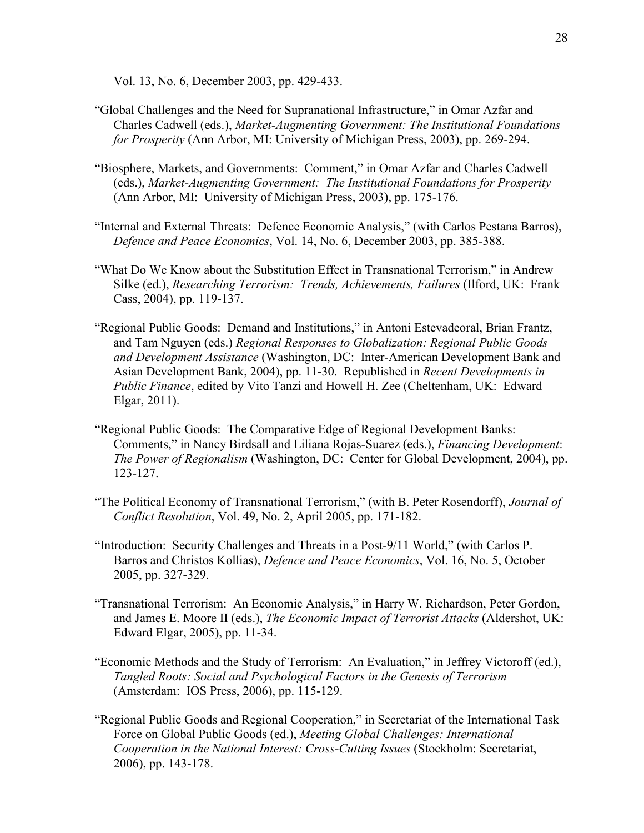Vol. 13, No. 6, December 2003, pp. 429-433.

- "Global Challenges and the Need for Supranational Infrastructure," in Omar Azfar and Charles Cadwell (eds.), *Market-Augmenting Government: The Institutional Foundations for Prosperity* (Ann Arbor, MI: University of Michigan Press, 2003), pp. 269-294.
- "Biosphere, Markets, and Governments: Comment," in Omar Azfar and Charles Cadwell (eds.), *Market-Augmenting Government: The Institutional Foundations for Prosperity* (Ann Arbor, MI: University of Michigan Press, 2003), pp. 175-176.
- "Internal and External Threats: Defence Economic Analysis," (with Carlos Pestana Barros), *Defence and Peace Economics*, Vol. 14, No. 6, December 2003, pp. 385-388.
- "What Do We Know about the Substitution Effect in Transnational Terrorism," in Andrew Silke (ed.), *Researching Terrorism: Trends, Achievements, Failures* (Ilford, UK: Frank Cass, 2004), pp. 119-137.
- "Regional Public Goods: Demand and Institutions," in Antoni Estevadeoral, Brian Frantz, and Tam Nguyen (eds.) *Regional Responses to Globalization: Regional Public Goods and Development Assistance* (Washington, DC: Inter-American Development Bank and Asian Development Bank, 2004), pp. 11-30. Republished in *Recent Developments in Public Finance*, edited by Vito Tanzi and Howell H. Zee (Cheltenham, UK: Edward Elgar, 2011).
- "Regional Public Goods: The Comparative Edge of Regional Development Banks: Comments," in Nancy Birdsall and Liliana Rojas-Suarez (eds.), *Financing Development*: *The Power of Regionalism* (Washington, DC: Center for Global Development, 2004), pp. 123-127.
- "The Political Economy of Transnational Terrorism," (with B. Peter Rosendorff), *Journal of Conflict Resolution*, Vol. 49, No. 2, April 2005, pp. 171-182.
- "Introduction: Security Challenges and Threats in a Post-9/11 World," (with Carlos P. Barros and Christos Kollias), *Defence and Peace Economics*, Vol. 16, No. 5, October 2005, pp. 327-329.
- "Transnational Terrorism: An Economic Analysis," in Harry W. Richardson, Peter Gordon, and James E. Moore II (eds.), *The Economic Impact of Terrorist Attacks* (Aldershot, UK: Edward Elgar, 2005), pp. 11-34.
- "Economic Methods and the Study of Terrorism: An Evaluation," in Jeffrey Victoroff (ed.), *Tangled Roots: Social and Psychological Factors in the Genesis of Terrorism* (Amsterdam: IOS Press, 2006), pp. 115-129.
- "Regional Public Goods and Regional Cooperation," in Secretariat of the International Task Force on Global Public Goods (ed.), *Meeting Global Challenges: International Cooperation in the National Interest: Cross-Cutting Issues* (Stockholm: Secretariat, 2006), pp. 143-178.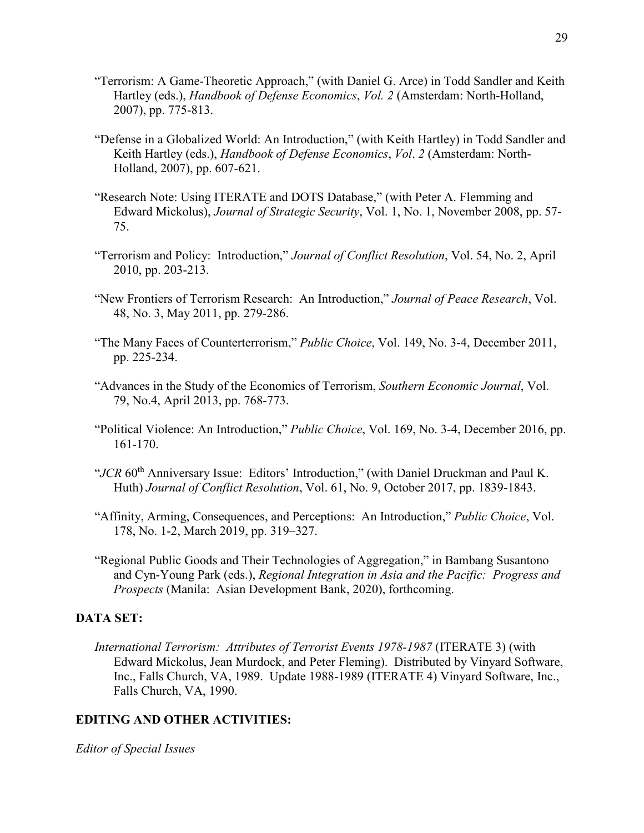- "Terrorism: A Game-Theoretic Approach," (with Daniel G. Arce) in Todd Sandler and Keith Hartley (eds.), *Handbook of Defense Economics*, *Vol. 2* (Amsterdam: North-Holland, 2007), pp. 775-813.
- "Defense in a Globalized World: An Introduction," (with Keith Hartley) in Todd Sandler and Keith Hartley (eds.), *Handbook of Defense Economics*, *Vol*. *2* (Amsterdam: North-Holland, 2007), pp. 607-621.
- "Research Note: Using ITERATE and DOTS Database," (with Peter A. Flemming and Edward Mickolus), *Journal of Strategic Security*, Vol. 1, No. 1, November 2008, pp. 57- 75.
- "Terrorism and Policy: Introduction," *Journal of Conflict Resolution*, Vol. 54, No. 2, April 2010, pp. 203-213.
- "New Frontiers of Terrorism Research: An Introduction," *Journal of Peace Research*, Vol. 48, No. 3, May 2011, pp. 279-286.
- "The Many Faces of Counterterrorism," *Public Choice*, Vol. 149, No. 3-4, December 2011, pp. 225-234.
- "Advances in the Study of the Economics of Terrorism, *Southern Economic Journal*, Vol. 79, No.4, April 2013, pp. 768-773.
- "Political Violence: An Introduction," *Public Choice*, Vol. 169, No. 3-4, December 2016, pp. 161-170.
- "JCR 60<sup>th</sup> Anniversary Issue: Editors' Introduction," (with Daniel Druckman and Paul K. Huth) *Journal of Conflict Resolution*, Vol. 61, No. 9, October 2017, pp. 1839-1843.
- "Affinity, Arming, Consequences, and Perceptions: An Introduction," *Public Choice*, Vol. 178, No. 1-2, March 2019, pp. 319–327.
- "Regional Public Goods and Their Technologies of Aggregation," in Bambang Susantono and Cyn-Young Park (eds.), *Regional Integration in Asia and the Pacific: Progress and Prospects* (Manila: Asian Development Bank, 2020), forthcoming.

## **DATA SET:**

*International Terrorism: Attributes of Terrorist Events 1978-1987* (ITERATE 3) (with Edward Mickolus, Jean Murdock, and Peter Fleming). Distributed by Vinyard Software, Inc., Falls Church, VA, 1989. Update 1988-1989 (ITERATE 4) Vinyard Software, Inc., Falls Church, VA, 1990.

## **EDITING AND OTHER ACTIVITIES:**

*Editor of Special Issues*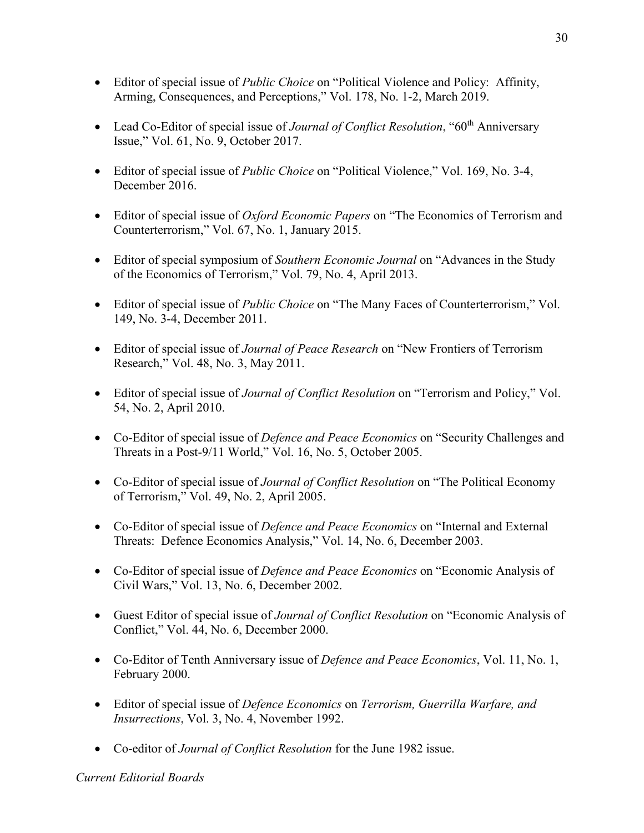- Editor of special issue of *Public Choice* on "Political Violence and Policy: Affinity, Arming, Consequences, and Perceptions," Vol. 178, No. 1-2, March 2019.
- Lead Co-Editor of special issue of *Journal of Conflict Resolution*, "60<sup>th</sup> Anniversary Issue," Vol. 61, No. 9, October 2017.
- Editor of special issue of *Public Choice* on "Political Violence," Vol. 169, No. 3-4, December 2016.
- Editor of special issue of *Oxford Economic Papers* on "The Economics of Terrorism and Counterterrorism," Vol. 67, No. 1, January 2015.
- Editor of special symposium of *Southern Economic Journal* on "Advances in the Study of the Economics of Terrorism," Vol. 79, No. 4, April 2013.
- Editor of special issue of *Public Choice* on "The Many Faces of Counterterrorism," Vol. 149, No. 3-4, December 2011.
- Editor of special issue of *Journal of Peace Research* on "New Frontiers of Terrorism Research," Vol. 48, No. 3, May 2011.
- Editor of special issue of *Journal of Conflict Resolution* on "Terrorism and Policy," Vol. 54, No. 2, April 2010.
- Co-Editor of special issue of *Defence and Peace Economics* on "Security Challenges and Threats in a Post-9/11 World," Vol. 16, No. 5, October 2005.
- Co-Editor of special issue of *Journal of Conflict Resolution* on "The Political Economy of Terrorism," Vol. 49, No. 2, April 2005.
- Co-Editor of special issue of *Defence and Peace Economics* on "Internal and External Threats: Defence Economics Analysis," Vol. 14, No. 6, December 2003.
- Co-Editor of special issue of *Defence and Peace Economics* on "Economic Analysis of Civil Wars," Vol. 13, No. 6, December 2002.
- Guest Editor of special issue of *Journal of Conflict Resolution* on "Economic Analysis of Conflict," Vol. 44, No. 6, December 2000.
- Co-Editor of Tenth Anniversary issue of *Defence and Peace Economics*, Vol. 11, No. 1, February 2000.
- Editor of special issue of *Defence Economics* on *Terrorism, Guerrilla Warfare, and Insurrections*, Vol. 3, No. 4, November 1992.
- Co-editor of *Journal of Conflict Resolution* for the June 1982 issue.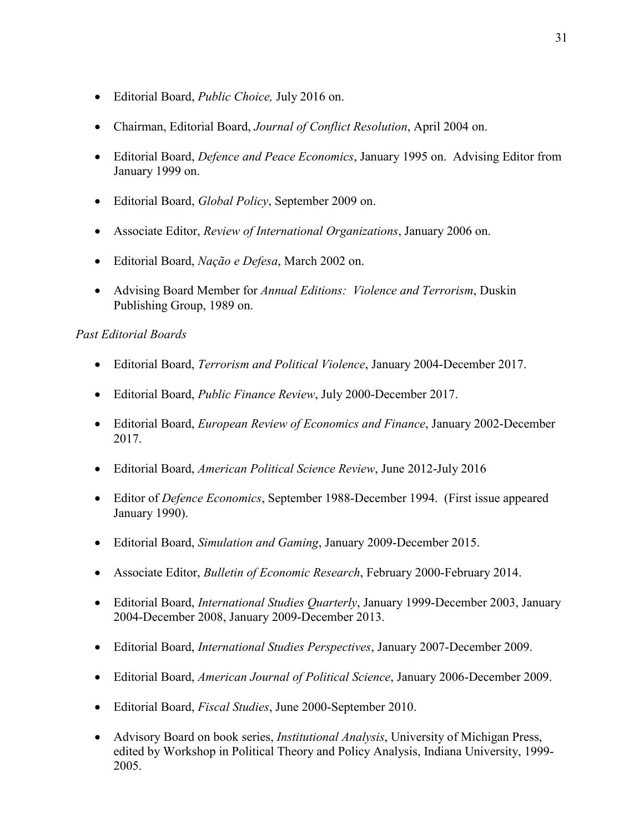- Editorial Board, *Public Choice,* July 2016 on.
- Chairman, Editorial Board, *Journal of Conflict Resolution*, April 2004 on.
- Editorial Board, *Defence and Peace Economics*, January 1995 on. Advising Editor from January 1999 on.
- Editorial Board, *Global Policy*, September 2009 on.
- Associate Editor, *Review of International Organizations*, January 2006 on.
- Editorial Board, *Nação e Defesa*, March 2002 on.
- Advising Board Member for *Annual Editions: Violence and Terrorism*, Duskin Publishing Group, 1989 on.

## *Past Editorial Boards*

- Editorial Board, *Terrorism and Political Violence*, January 2004-December 2017.
- Editorial Board, *Public Finance Review*, July 2000-December 2017.
- Editorial Board, *European Review of Economics and Finance*, January 2002-December 2017.
- Editorial Board, *American Political Science Review*, June 2012-July 2016
- Editor of *Defence Economics*, September 1988-December 1994. (First issue appeared January 1990).
- Editorial Board, *Simulation and Gaming*, January 2009-December 2015.
- Associate Editor, *Bulletin of Economic Research*, February 2000-February 2014.
- Editorial Board, *International Studies Quarterly*, January 1999-December 2003, January 2004-December 2008, January 2009-December 2013.
- Editorial Board, *International Studies Perspectives*, January 2007-December 2009.
- Editorial Board, *American Journal of Political Science*, January 2006-December 2009.
- Editorial Board, *Fiscal Studies*, June 2000-September 2010.
- Advisory Board on book series, *Institutional Analysis*, University of Michigan Press, edited by Workshop in Political Theory and Policy Analysis, Indiana University, 1999- 2005.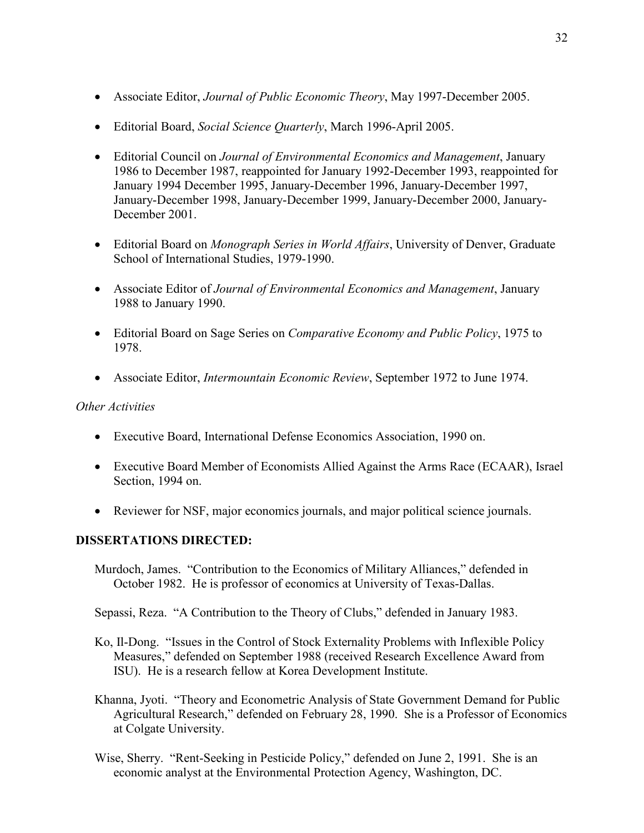- Associate Editor, *Journal of Public Economic Theory*, May 1997-December 2005.
- Editorial Board, *Social Science Quarterly*, March 1996-April 2005.
- Editorial Council on *Journal of Environmental Economics and Management*, January 1986 to December 1987, reappointed for January 1992-December 1993, reappointed for January 1994 December 1995, January-December 1996, January-December 1997, January-December 1998, January-December 1999, January-December 2000, January-December 2001.
- Editorial Board on *Monograph Series in World Affairs*, University of Denver, Graduate School of International Studies, 1979-1990.
- Associate Editor of *Journal of Environmental Economics and Management*, January 1988 to January 1990.
- Editorial Board on Sage Series on *Comparative Economy and Public Policy*, 1975 to 1978.
- Associate Editor, *Intermountain Economic Review*, September 1972 to June 1974.

## *Other Activities*

- Executive Board, International Defense Economics Association, 1990 on.
- Executive Board Member of Economists Allied Against the Arms Race (ECAAR), Israel Section, 1994 on.
- Reviewer for NSF, major economics journals, and major political science journals.

# **DISSERTATIONS DIRECTED:**

Murdoch, James. "Contribution to the Economics of Military Alliances," defended in October 1982. He is professor of economics at University of Texas-Dallas.

Sepassi, Reza. "A Contribution to the Theory of Clubs," defended in January 1983.

- Ko, Il-Dong. "Issues in the Control of Stock Externality Problems with Inflexible Policy Measures," defended on September 1988 (received Research Excellence Award from ISU). He is a research fellow at Korea Development Institute.
- Khanna, Jyoti. "Theory and Econometric Analysis of State Government Demand for Public Agricultural Research," defended on February 28, 1990. She is a Professor of Economics at Colgate University.
- Wise, Sherry. "Rent-Seeking in Pesticide Policy," defended on June 2, 1991. She is an economic analyst at the Environmental Protection Agency, Washington, DC.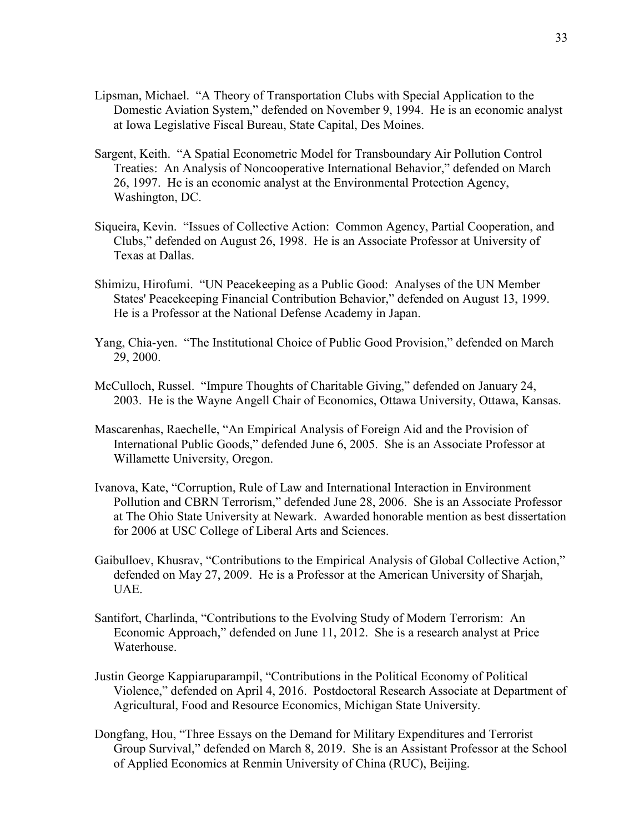- Lipsman, Michael. "A Theory of Transportation Clubs with Special Application to the Domestic Aviation System," defended on November 9, 1994. He is an economic analyst at Iowa Legislative Fiscal Bureau, State Capital, Des Moines.
- Sargent, Keith. "A Spatial Econometric Model for Transboundary Air Pollution Control Treaties: An Analysis of Noncooperative International Behavior," defended on March 26, 1997. He is an economic analyst at the Environmental Protection Agency, Washington, DC.
- Siqueira, Kevin. "Issues of Collective Action: Common Agency, Partial Cooperation, and Clubs," defended on August 26, 1998. He is an Associate Professor at University of Texas at Dallas.
- Shimizu, Hirofumi. "UN Peacekeeping as a Public Good: Analyses of the UN Member States' Peacekeeping Financial Contribution Behavior," defended on August 13, 1999. He is a Professor at the National Defense Academy in Japan.
- Yang, Chia-yen. "The Institutional Choice of Public Good Provision," defended on March 29, 2000.
- McCulloch, Russel. "Impure Thoughts of Charitable Giving," defended on January 24, 2003. He is the Wayne Angell Chair of Economics, Ottawa University, Ottawa, Kansas.
- Mascarenhas, Raechelle, "An Empirical Analysis of Foreign Aid and the Provision of International Public Goods," defended June 6, 2005. She is an Associate Professor at Willamette University, Oregon.
- Ivanova, Kate, "Corruption, Rule of Law and International Interaction in Environment Pollution and CBRN Terrorism," defended June 28, 2006. She is an Associate Professor at The Ohio State University at Newark. Awarded honorable mention as best dissertation for 2006 at USC College of Liberal Arts and Sciences.
- Gaibulloev, Khusrav, "Contributions to the Empirical Analysis of Global Collective Action," defended on May 27, 2009. He is a Professor at the American University of Sharjah, UAE.
- Santifort, Charlinda, "Contributions to the Evolving Study of Modern Terrorism: An Economic Approach," defended on June 11, 2012. She is a research analyst at Price Waterhouse.
- Justin George Kappiaruparampil, "Contributions in the Political Economy of Political Violence," defended on April 4, 2016. Postdoctoral Research Associate at Department of Agricultural, Food and Resource Economics, Michigan State University.
- Dongfang, Hou, "Three Essays on the Demand for Military Expenditures and Terrorist Group Survival," defended on March 8, 2019. She is an Assistant Professor at the School of Applied Economics at Renmin University of China (RUC), Beijing.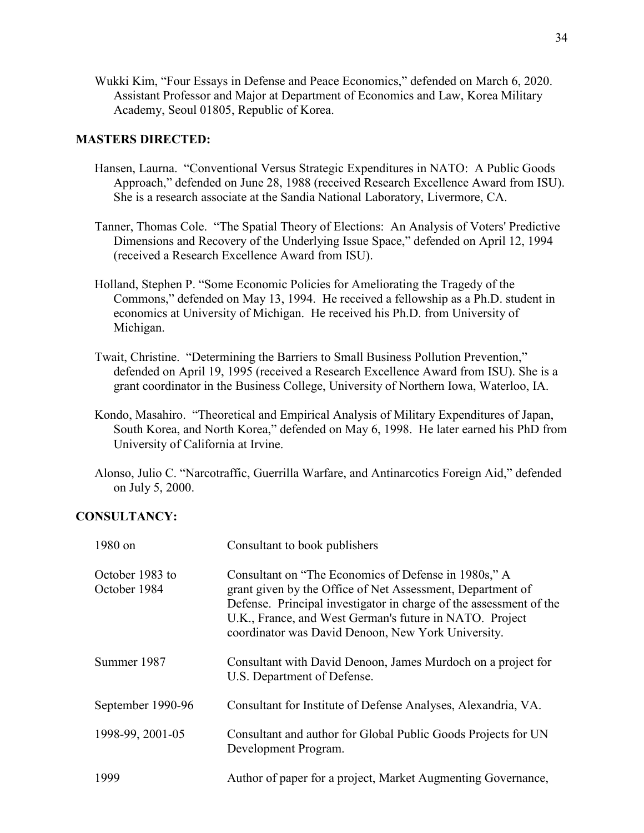Wukki Kim, "Four Essays in Defense and Peace Economics," defended on March 6, 2020. Assistant Professor and Major at Department of Economics and Law, Korea Military Academy, Seoul 01805, Republic of Korea.

## **MASTERS DIRECTED:**

- Hansen, Laurna. "Conventional Versus Strategic Expenditures in NATO: A Public Goods Approach," defended on June 28, 1988 (received Research Excellence Award from ISU). She is a research associate at the Sandia National Laboratory, Livermore, CA.
- Tanner, Thomas Cole. "The Spatial Theory of Elections: An Analysis of Voters' Predictive Dimensions and Recovery of the Underlying Issue Space," defended on April 12, 1994 (received a Research Excellence Award from ISU).
- Holland, Stephen P. "Some Economic Policies for Ameliorating the Tragedy of the Commons," defended on May 13, 1994. He received a fellowship as a Ph.D. student in economics at University of Michigan. He received his Ph.D. from University of Michigan.
- Twait, Christine. "Determining the Barriers to Small Business Pollution Prevention," defended on April 19, 1995 (received a Research Excellence Award from ISU). She is a grant coordinator in the Business College, University of Northern Iowa, Waterloo, IA.
- Kondo, Masahiro. "Theoretical and Empirical Analysis of Military Expenditures of Japan, South Korea, and North Korea," defended on May 6, 1998. He later earned his PhD from University of California at Irvine.
- Alonso, Julio C. "Narcotraffic, Guerrilla Warfare, and Antinarcotics Foreign Aid," defended on July 5, 2000.

# **CONSULTANCY:**

| 1980 on                         | Consultant to book publishers                                                                                                                                                                                                                                                                             |
|---------------------------------|-----------------------------------------------------------------------------------------------------------------------------------------------------------------------------------------------------------------------------------------------------------------------------------------------------------|
| October 1983 to<br>October 1984 | Consultant on "The Economics of Defense in 1980s," A<br>grant given by the Office of Net Assessment, Department of<br>Defense. Principal investigator in charge of the assessment of the<br>U.K., France, and West German's future in NATO. Project<br>coordinator was David Denoon, New York University. |
| Summer 1987                     | Consultant with David Denoon, James Murdoch on a project for<br>U.S. Department of Defense.                                                                                                                                                                                                               |
| September 1990-96               | Consultant for Institute of Defense Analyses, Alexandria, VA.                                                                                                                                                                                                                                             |
| 1998-99, 2001-05                | Consultant and author for Global Public Goods Projects for UN<br>Development Program.                                                                                                                                                                                                                     |
| 1999                            | Author of paper for a project, Market Augmenting Governance,                                                                                                                                                                                                                                              |